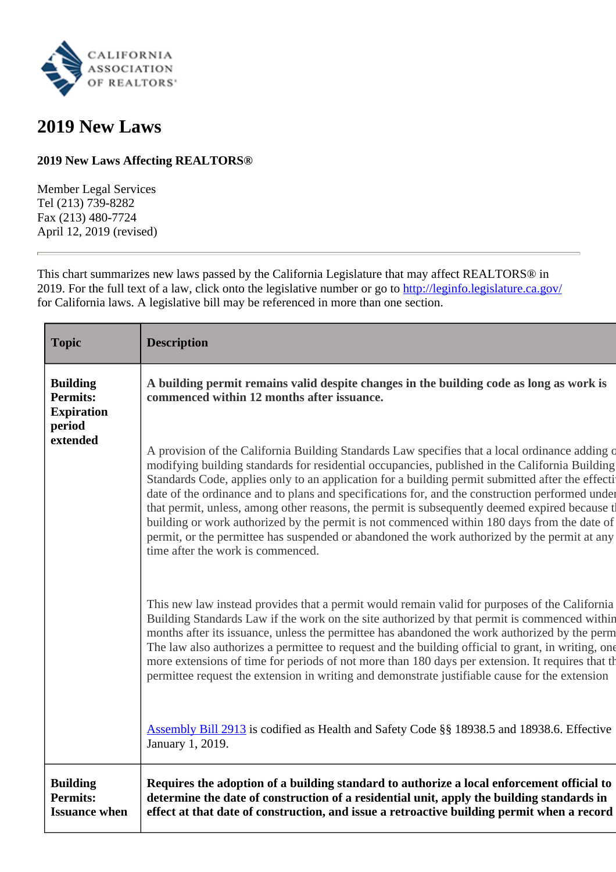

# **2019 New Laws**

# **2019 New Laws Affecting REALTORS®**

Member Legal Services Tel (213) 739-8282 Fax (213) 480-7724 April 12, 2019 (revised)

This chart summarizes new laws passed by the California Legislature that may affect REALTORS® in 2019. For the full text of a law, click onto the legislative number or go to<http://leginfo.legislature.ca.gov/> for California laws. A legislative bill may be referenced in more than one section.

| <b>Topic</b>                                                      | <b>Description</b>                                                                                                                                                                                                                                                                                                                                                                                                                                                                                                                                                                                                                                                                                                                           |
|-------------------------------------------------------------------|----------------------------------------------------------------------------------------------------------------------------------------------------------------------------------------------------------------------------------------------------------------------------------------------------------------------------------------------------------------------------------------------------------------------------------------------------------------------------------------------------------------------------------------------------------------------------------------------------------------------------------------------------------------------------------------------------------------------------------------------|
| <b>Building</b><br><b>Permits:</b><br><b>Expiration</b><br>period | A building permit remains valid despite changes in the building code as long as work is<br>commenced within 12 months after issuance.                                                                                                                                                                                                                                                                                                                                                                                                                                                                                                                                                                                                        |
| extended                                                          | A provision of the California Building Standards Law specifies that a local ordinance adding o<br>modifying building standards for residential occupancies, published in the California Building<br>Standards Code, applies only to an application for a building permit submitted after the effecti<br>date of the ordinance and to plans and specifications for, and the construction performed under<br>that permit, unless, among other reasons, the permit is subsequently deemed expired because t<br>building or work authorized by the permit is not commenced within 180 days from the date of<br>permit, or the permittee has suspended or abandoned the work authorized by the permit at any<br>time after the work is commenced. |
|                                                                   | This new law instead provides that a permit would remain valid for purposes of the California<br>Building Standards Law if the work on the site authorized by that permit is commenced within<br>months after its issuance, unless the permittee has abandoned the work authorized by the perm<br>The law also authorizes a permittee to request and the building official to grant, in writing, one<br>more extensions of time for periods of not more than 180 days per extension. It requires that the<br>permittee request the extension in writing and demonstrate justifiable cause for the extension                                                                                                                                  |
|                                                                   | <b>Assembly Bill 2913</b> is codified as Health and Safety Code §§ 18938.5 and 18938.6. Effective<br>January 1, 2019.                                                                                                                                                                                                                                                                                                                                                                                                                                                                                                                                                                                                                        |
| <b>Building</b><br><b>Permits:</b><br><b>Issuance when</b>        | Requires the adoption of a building standard to authorize a local enforcement official to<br>determine the date of construction of a residential unit, apply the building standards in<br>effect at that date of construction, and issue a retroactive building permit when a record                                                                                                                                                                                                                                                                                                                                                                                                                                                         |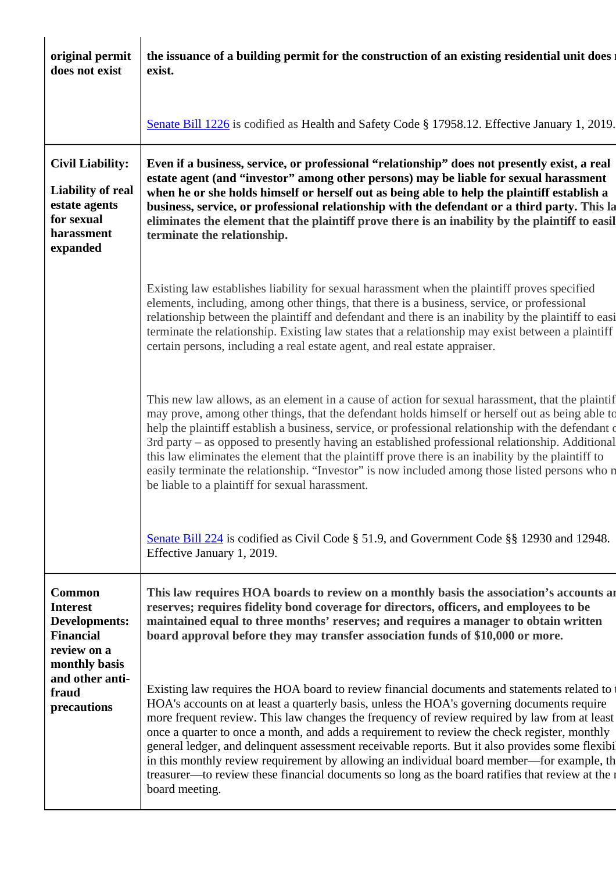| original permit<br>does not exist                                                                            | the issuance of a building permit for the construction of an existing residential unit does<br>exist.                                                                                                                                                                                                                                                                                                                                                                                                                                                                                                                                                                                                           |
|--------------------------------------------------------------------------------------------------------------|-----------------------------------------------------------------------------------------------------------------------------------------------------------------------------------------------------------------------------------------------------------------------------------------------------------------------------------------------------------------------------------------------------------------------------------------------------------------------------------------------------------------------------------------------------------------------------------------------------------------------------------------------------------------------------------------------------------------|
|                                                                                                              | Senate Bill 1226 is codified as Health and Safety Code § 17958.12. Effective January 1, 2019.                                                                                                                                                                                                                                                                                                                                                                                                                                                                                                                                                                                                                   |
| <b>Civil Liability:</b><br><b>Liability of real</b><br>estate agents<br>for sexual<br>harassment<br>expanded | Even if a business, service, or professional "relationship" does not presently exist, a real<br>estate agent (and "investor" among other persons) may be liable for sexual harassment<br>when he or she holds himself or herself out as being able to help the plaintiff establish a<br>business, service, or professional relationship with the defendant or a third party. This la<br>eliminates the element that the plaintiff prove there is an inability by the plaintiff to easil<br>terminate the relationship.                                                                                                                                                                                          |
|                                                                                                              | Existing law establishes liability for sexual harassment when the plaintiff proves specified<br>elements, including, among other things, that there is a business, service, or professional<br>relationship between the plaintiff and defendant and there is an inability by the plaintiff to easi<br>terminate the relationship. Existing law states that a relationship may exist between a plaintiff<br>certain persons, including a real estate agent, and real estate appraiser.                                                                                                                                                                                                                           |
|                                                                                                              | This new law allows, as an element in a cause of action for sexual harassment, that the plaintif<br>may prove, among other things, that the defendant holds himself or herself out as being able to<br>help the plaintiff establish a business, service, or professional relationship with the defendant of<br>3rd party – as opposed to presently having an established professional relationship. Additional<br>this law eliminates the element that the plaintiff prove there is an inability by the plaintiff to<br>easily terminate the relationship. "Investor" is now included among those listed persons who n<br>be liable to a plaintiff for sexual harassment.                                       |
|                                                                                                              | Senate Bill 224 is codified as Civil Code § 51.9, and Government Code §§ 12930 and 12948.<br>Effective January 1, 2019.                                                                                                                                                                                                                                                                                                                                                                                                                                                                                                                                                                                         |
| <b>Common</b><br><b>Interest</b><br>Developments:<br><b>Financial</b><br>review on a<br>monthly basis        | This law requires HOA boards to review on a monthly basis the association's accounts are<br>reserves; requires fidelity bond coverage for directors, officers, and employees to be<br>maintained equal to three months' reserves; and requires a manager to obtain written<br>board approval before they may transfer association funds of \$10,000 or more.                                                                                                                                                                                                                                                                                                                                                    |
| and other anti-<br>fraud<br>precautions                                                                      | Existing law requires the HOA board to review financial documents and statements related to<br>HOA's accounts on at least a quarterly basis, unless the HOA's governing documents require<br>more frequent review. This law changes the frequency of review required by law from at least<br>once a quarter to once a month, and adds a requirement to review the check register, monthly<br>general ledger, and delinquent assessment receivable reports. But it also provides some flexibi<br>in this monthly review requirement by allowing an individual board member—for example, th<br>treasurer—to review these financial documents so long as the board ratifies that review at the r<br>board meeting. |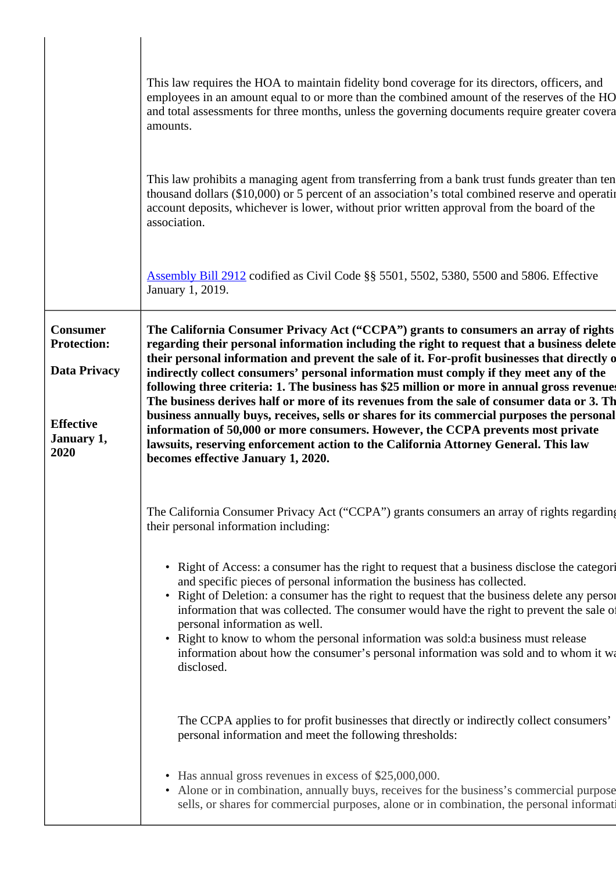|                                                                                                        | This law requires the HOA to maintain fidelity bond coverage for its directors, officers, and<br>employees in an amount equal to or more than the combined amount of the reserves of the HO<br>and total assessments for three months, unless the governing documents require greater covera<br>amounts.                                                                                                                                                                                                                                                                                                                                                                                                                                                                                                                                                                                |
|--------------------------------------------------------------------------------------------------------|-----------------------------------------------------------------------------------------------------------------------------------------------------------------------------------------------------------------------------------------------------------------------------------------------------------------------------------------------------------------------------------------------------------------------------------------------------------------------------------------------------------------------------------------------------------------------------------------------------------------------------------------------------------------------------------------------------------------------------------------------------------------------------------------------------------------------------------------------------------------------------------------|
|                                                                                                        | This law prohibits a managing agent from transferring from a bank trust funds greater than ten<br>thousand dollars (\$10,000) or 5 percent of an association's total combined reserve and operating<br>account deposits, whichever is lower, without prior written approval from the board of the<br>association.                                                                                                                                                                                                                                                                                                                                                                                                                                                                                                                                                                       |
|                                                                                                        | Assembly Bill 2912 codified as Civil Code §§ 5501, 5502, 5380, 5500 and 5806. Effective<br>January 1, 2019.                                                                                                                                                                                                                                                                                                                                                                                                                                                                                                                                                                                                                                                                                                                                                                             |
| <b>Consumer</b><br><b>Protection:</b><br><b>Data Privacy</b><br><b>Effective</b><br>January 1,<br>2020 | The California Consumer Privacy Act ("CCPA") grants to consumers an array of rights<br>regarding their personal information including the right to request that a business delete<br>their personal information and prevent the sale of it. For-profit businesses that directly o<br>indirectly collect consumers' personal information must comply if they meet any of the<br>following three criteria: 1. The business has \$25 million or more in annual gross revenues<br>The business derives half or more of its revenues from the sale of consumer data or 3. The<br>business annually buys, receives, sells or shares for its commercial purposes the personal<br>information of 50,000 or more consumers. However, the CCPA prevents most private<br>lawsuits, reserving enforcement action to the California Attorney General. This law<br>becomes effective January 1, 2020. |
|                                                                                                        | The California Consumer Privacy Act ("CCPA") grants consumers an array of rights regarding<br>their personal information including:                                                                                                                                                                                                                                                                                                                                                                                                                                                                                                                                                                                                                                                                                                                                                     |
|                                                                                                        | • Right of Access: a consumer has the right to request that a business disclose the categori<br>and specific pieces of personal information the business has collected.<br>• Right of Deletion: a consumer has the right to request that the business delete any person<br>information that was collected. The consumer would have the right to prevent the sale of<br>personal information as well.<br>• Right to know to whom the personal information was sold: a business must release<br>information about how the consumer's personal information was sold and to whom it was<br>disclosed.                                                                                                                                                                                                                                                                                       |
|                                                                                                        | The CCPA applies to for profit businesses that directly or indirectly collect consumers'<br>personal information and meet the following thresholds:                                                                                                                                                                                                                                                                                                                                                                                                                                                                                                                                                                                                                                                                                                                                     |
|                                                                                                        | • Has annual gross revenues in excess of \$25,000,000.<br>• Alone or in combination, annually buys, receives for the business's commercial purpose<br>sells, or shares for commercial purposes, alone or in combination, the personal information                                                                                                                                                                                                                                                                                                                                                                                                                                                                                                                                                                                                                                       |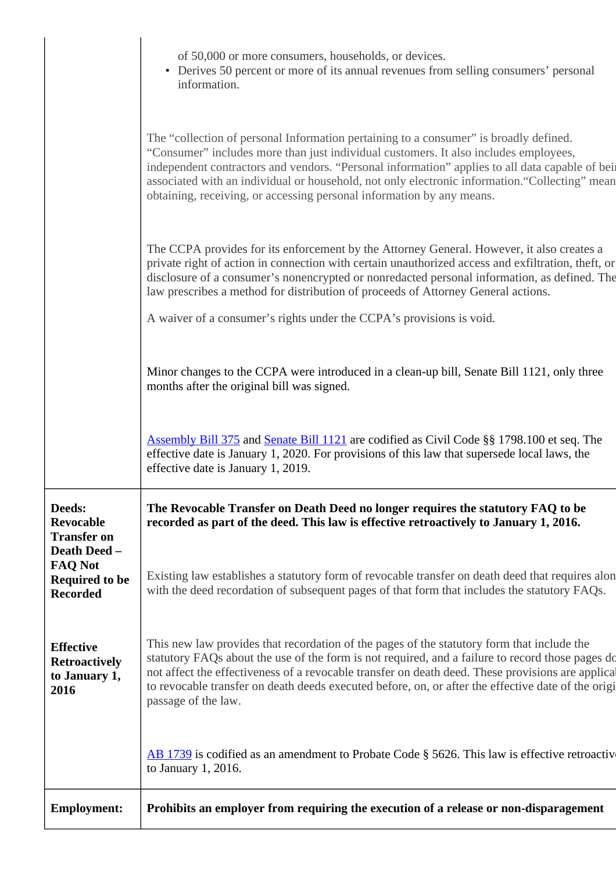|                                                                   | of 50,000 or more consumers, households, or devices.                                                                                                                                                                                                                                                                                                                                                                                                        |
|-------------------------------------------------------------------|-------------------------------------------------------------------------------------------------------------------------------------------------------------------------------------------------------------------------------------------------------------------------------------------------------------------------------------------------------------------------------------------------------------------------------------------------------------|
|                                                                   | • Derives 50 percent or more of its annual revenues from selling consumers' personal<br>information.                                                                                                                                                                                                                                                                                                                                                        |
|                                                                   | The "collection of personal Information pertaining to a consumer" is broadly defined.<br>"Consumer" includes more than just individual customers. It also includes employees,<br>independent contractors and vendors. "Personal information" applies to all data capable of bein<br>associated with an individual or household, not only electronic information. "Collecting" mean<br>obtaining, receiving, or accessing personal information by any means. |
|                                                                   | The CCPA provides for its enforcement by the Attorney General. However, it also creates a<br>private right of action in connection with certain unauthorized access and exfiltration, theft, or<br>disclosure of a consumer's nonencrypted or nonredacted personal information, as defined. The<br>law prescribes a method for distribution of proceeds of Attorney General actions.                                                                        |
|                                                                   | A waiver of a consumer's rights under the CCPA's provisions is void.                                                                                                                                                                                                                                                                                                                                                                                        |
|                                                                   | Minor changes to the CCPA were introduced in a clean-up bill, Senate Bill 1121, only three<br>months after the original bill was signed.                                                                                                                                                                                                                                                                                                                    |
|                                                                   | <b>Assembly Bill 375</b> and <b>Senate Bill 1121</b> are codified as Civil Code §§ 1798.100 et seq. The<br>effective date is January 1, 2020. For provisions of this law that supersede local laws, the<br>effective date is January 1, 2019.                                                                                                                                                                                                               |
| Deeds:<br><b>Revocable</b><br><b>Transfer on</b><br>Death Deed -  | The Revocable Transfer on Death Deed no longer requires the statutory FAQ to be<br>recorded as part of the deed. This law is effective retroactively to January 1, 2016.                                                                                                                                                                                                                                                                                    |
| <b>FAQ Not</b><br><b>Required to be</b><br><b>Recorded</b>        | Existing law establishes a statutory form of revocable transfer on death deed that requires alon<br>with the deed recordation of subsequent pages of that form that includes the statutory FAQs.                                                                                                                                                                                                                                                            |
| <b>Effective</b><br><b>Retroactively</b><br>to January 1,<br>2016 | This new law provides that recordation of the pages of the statutory form that include the<br>statutory FAQs about the use of the form is not required, and a failure to record those pages do<br>not affect the effectiveness of a revocable transfer on death deed. These provisions are applical<br>to revocable transfer on death deeds executed before, on, or after the effective date of the origi<br>passage of the law.                            |
|                                                                   | $\overline{AB}$ 1739 is codified as an amendment to Probate Code § 5626. This law is effective retroactive<br>to January $1, 2016$ .                                                                                                                                                                                                                                                                                                                        |
| <b>Employment:</b>                                                | Prohibits an employer from requiring the execution of a release or non-disparagement                                                                                                                                                                                                                                                                                                                                                                        |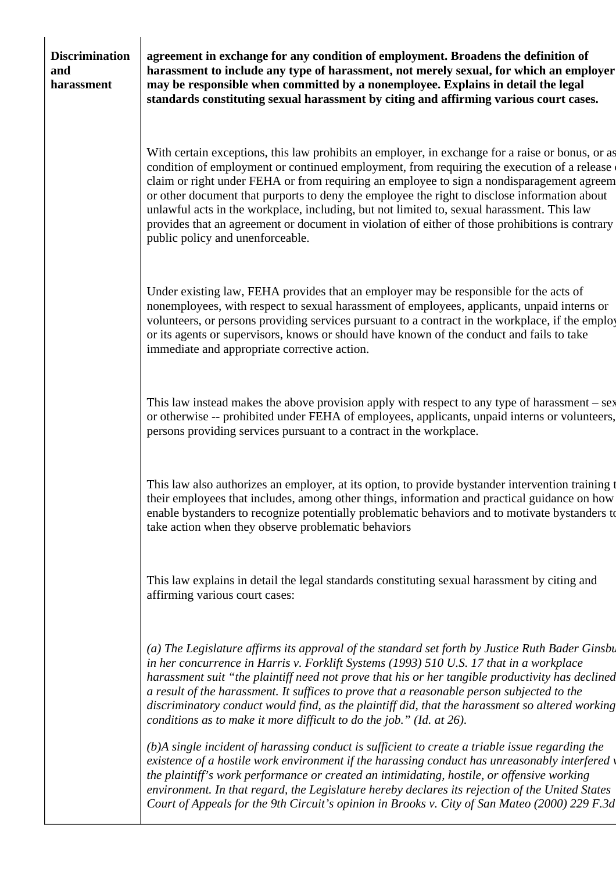## **Discrimination and harassment**

**agreement in exchange for any condition of employment. Broadens the definition of harassment to include any type of harassment, not merely sexual, for which an employer may be responsible when committed by a nonemployee. Explains in detail the legal standards constituting sexual harassment by citing and affirming various court cases.**

With certain exceptions, this law prohibits an employer, in exchange for a raise or bonus, or as condition of employment or continued employment, from requiring the execution of a release claim or right under FEHA or from requiring an employee to sign a nondisparagement agreem or other document that purports to deny the employee the right to disclose information about unlawful acts in the workplace, including, but not limited to, sexual harassment. This law provides that an agreement or document in violation of either of those prohibitions is contrary public policy and unenforceable.

Under existing law, FEHA provides that an employer may be responsible for the acts of nonemployees, with respect to sexual harassment of employees, applicants, unpaid interns or volunteers, or persons providing services pursuant to a contract in the workplace, if the employ or its agents or supervisors, knows or should have known of the conduct and fails to take immediate and appropriate corrective action.

This law instead makes the above provision apply with respect to any type of harassment – sex or otherwise -- prohibited under FEHA of employees, applicants, unpaid interns or volunteers, persons providing services pursuant to a contract in the workplace.

This law also authorizes an employer, at its option, to provide bystander intervention training to their employees that includes, among other things, information and practical guidance on how to enable bystanders to recognize potentially problematic behaviors and to motivate bystanders to take action when they observe problematic behaviors

This law explains in detail the legal standards constituting sexual harassment by citing and affirming various court cases:

*(a) The Legislature affirms its approval of the standard set forth by Justice Ruth Bader Ginsbi in her concurrence in Harris v. Forklift Systems (1993) 510 U.S. 17 that in a workplace harassment suit "the plaintiff need not prove that his or her tangible productivity has declined a result of the harassment. It suffices to prove that a reasonable person subjected to the discriminatory conduct would find, as the plaintiff did, that the harassment so altered working conditions as to make it more difficult to do the job." (Id. at 26).*

*(b)A single incident of harassing conduct is sufficient to create a triable issue regarding the existence of a hostile work environment if the harassing conduct has unreasonably interfered v the plaintiff's work performance or created an intimidating, hostile, or offensive working environment. In that regard, the Legislature hereby declares its rejection of the United States Court of Appeals for the 9th Circuit's opinion in Brooks v. City of San Mateo (2000) 229 F.3d*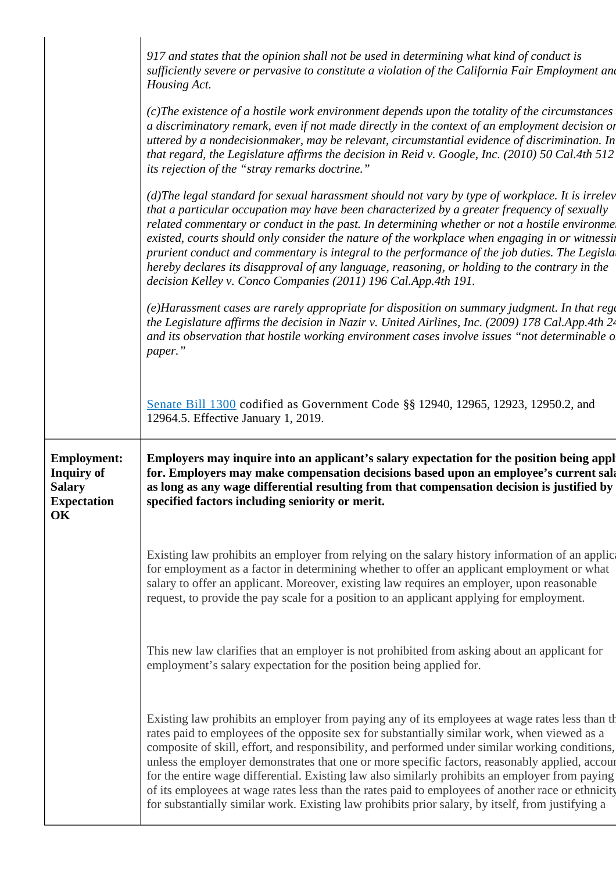|                                                                                      | 917 and states that the opinion shall not be used in determining what kind of conduct is<br>sufficiently severe or pervasive to constitute a violation of the California Fair Employment and<br>Housing Act.                                                                                                                                                                                                                                                                                                                                                                                                                                                          |
|--------------------------------------------------------------------------------------|-----------------------------------------------------------------------------------------------------------------------------------------------------------------------------------------------------------------------------------------------------------------------------------------------------------------------------------------------------------------------------------------------------------------------------------------------------------------------------------------------------------------------------------------------------------------------------------------------------------------------------------------------------------------------|
|                                                                                      | (c) The existence of a hostile work environment depends upon the totality of the circumstances<br>a discriminatory remark, even if not made directly in the context of an employment decision or<br>uttered by a nondecisionmaker, may be relevant, circumstantial evidence of discrimination. In<br>that regard, the Legislature affirms the decision in Reid v. Google, Inc. (2010) 50 Cal.4th 512<br>its rejection of the "stray remarks doctrine."                                                                                                                                                                                                                |
|                                                                                      | (d)The legal standard for sexual harassment should not vary by type of workplace. It is irrelev<br>that a particular occupation may have been characterized by a greater frequency of sexually<br>related commentary or conduct in the past. In determining whether or not a hostile environmel<br>existed, courts should only consider the nature of the workplace when engaging in or witnessin<br>prurient conduct and commentary is integral to the performance of the job duties. The Legisla<br>hereby declares its disapproval of any language, reasoning, or holding to the contrary in the<br>decision Kelley v. Conco Companies (2011) 196 Cal.App.4th 191. |
|                                                                                      | (e)Harassment cases are rarely appropriate for disposition on summary judgment. In that rego<br>the Legislature affirms the decision in Nazir v. United Airlines, Inc. (2009) 178 Cal.App.4th 24<br>and its observation that hostile working environment cases involve issues "not determinable of<br>paper."                                                                                                                                                                                                                                                                                                                                                         |
|                                                                                      | Senate Bill 1300 codified as Government Code §§ 12940, 12965, 12923, 12950.2, and<br>12964.5. Effective January 1, 2019.                                                                                                                                                                                                                                                                                                                                                                                                                                                                                                                                              |
| <b>Employment:</b><br><b>Inquiry of</b><br><b>Salary</b><br><b>Expectation</b><br>OK | Employers may inquire into an applicant's salary expectation for the position being appl<br>for. Employers may make compensation decisions based upon an employee's current sala<br>as long as any wage differential resulting from that compensation decision is justified by<br>specified factors including seniority or merit.                                                                                                                                                                                                                                                                                                                                     |
|                                                                                      | Existing law prohibits an employer from relying on the salary history information of an application<br>for employment as a factor in determining whether to offer an applicant employment or what<br>salary to offer an applicant. Moreover, existing law requires an employer, upon reasonable<br>request, to provide the pay scale for a position to an applicant applying for employment.                                                                                                                                                                                                                                                                          |
|                                                                                      | This new law clarifies that an employer is not prohibited from asking about an applicant for<br>employment's salary expectation for the position being applied for.                                                                                                                                                                                                                                                                                                                                                                                                                                                                                                   |
|                                                                                      |                                                                                                                                                                                                                                                                                                                                                                                                                                                                                                                                                                                                                                                                       |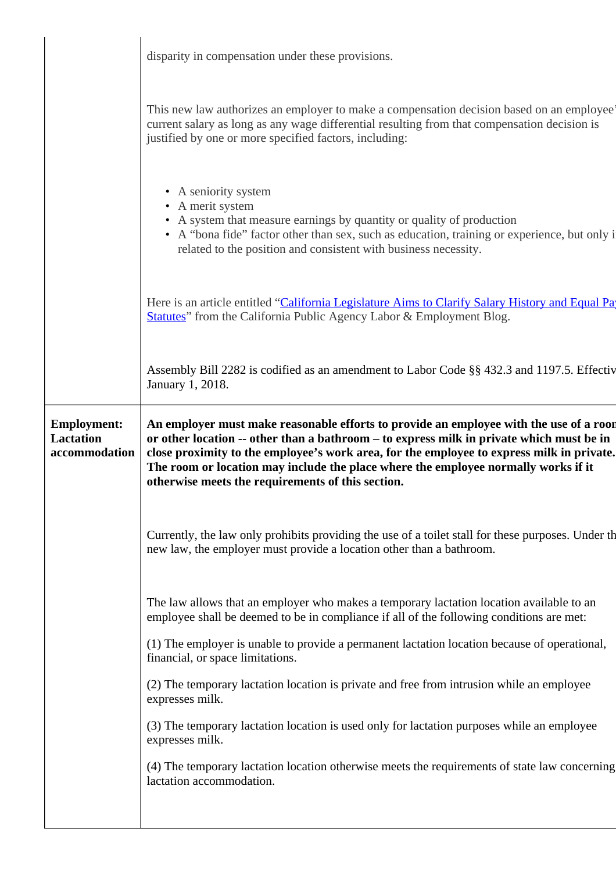|                                        | disparity in compensation under these provisions.                                                                                                                                                                                                                                    |
|----------------------------------------|--------------------------------------------------------------------------------------------------------------------------------------------------------------------------------------------------------------------------------------------------------------------------------------|
|                                        | This new law authorizes an employer to make a compensation decision based on an employee<br>current salary as long as any wage differential resulting from that compensation decision is<br>justified by one or more specified factors, including:                                   |
|                                        | • A seniority system<br>• A merit system<br>• A system that measure earnings by quantity or quality of production<br>• A "bona fide" factor other than sex, such as education, training or experience, but only i<br>related to the position and consistent with business necessity. |
|                                        | Here is an article entitled "California Legislature Aims to Clarify Salary History and Equal Pay<br>Statutes" from the California Public Agency Labor & Employment Blog.                                                                                                             |
|                                        | Assembly Bill 2282 is codified as an amendment to Labor Code §§ 432.3 and 1197.5. Effectiv<br>January 1, 2018.                                                                                                                                                                       |
| <b>Employment:</b><br><b>Lactation</b> | An employer must make reasonable efforts to provide an employee with the use of a roor<br>or other location -- other than a bathroom - to express milk in private which must be in                                                                                                   |
| accommodation                          | close proximity to the employee's work area, for the employee to express milk in private.<br>The room or location may include the place where the employee normally works if it<br>otherwise meets the requirements of this section.                                                 |
|                                        | Currently, the law only prohibits providing the use of a toilet stall for these purposes. Under the<br>new law, the employer must provide a location other than a bathroom.                                                                                                          |
|                                        | The law allows that an employer who makes a temporary lactation location available to an<br>employee shall be deemed to be in compliance if all of the following conditions are met:                                                                                                 |
|                                        | (1) The employer is unable to provide a permanent lactation location because of operational,<br>financial, or space limitations.                                                                                                                                                     |
|                                        | (2) The temporary lactation location is private and free from intrusion while an employee<br>expresses milk.                                                                                                                                                                         |
|                                        | (3) The temporary lactation location is used only for lactation purposes while an employee<br>expresses milk.                                                                                                                                                                        |
|                                        | (4) The temporary lactation location otherwise meets the requirements of state law concerning<br>lactation accommodation.                                                                                                                                                            |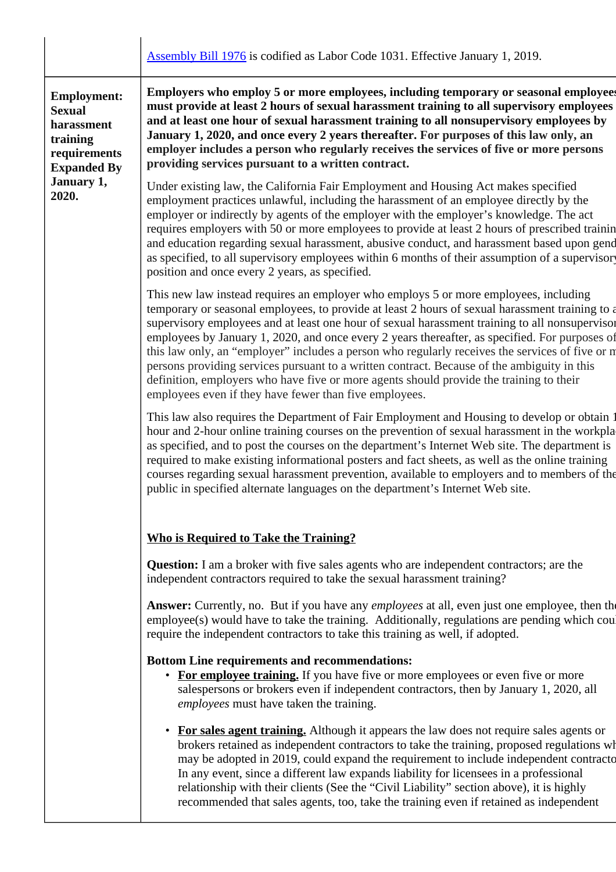|                                                                                                     | <b>Assembly Bill 1976</b> is codified as Labor Code 1031. Effective January 1, 2019.                                                                                                                                                                                                                                                                                                                                                                                                                                                                                                                                                                                                                                                                 |
|-----------------------------------------------------------------------------------------------------|------------------------------------------------------------------------------------------------------------------------------------------------------------------------------------------------------------------------------------------------------------------------------------------------------------------------------------------------------------------------------------------------------------------------------------------------------------------------------------------------------------------------------------------------------------------------------------------------------------------------------------------------------------------------------------------------------------------------------------------------------|
| <b>Employment:</b><br><b>Sexual</b><br>harassment<br>training<br>requirements<br><b>Expanded By</b> | Employers who employ 5 or more employees, including temporary or seasonal employees<br>must provide at least 2 hours of sexual harassment training to all supervisory employees<br>and at least one hour of sexual harassment training to all nonsupervisory employees by<br>January 1, 2020, and once every 2 years thereafter. For purposes of this law only, an<br>employer includes a person who regularly receives the services of five or more persons<br>providing services pursuant to a written contract.                                                                                                                                                                                                                                   |
| January 1,<br>2020.                                                                                 | Under existing law, the California Fair Employment and Housing Act makes specified<br>employment practices unlawful, including the harassment of an employee directly by the<br>employer or indirectly by agents of the employer with the employer's knowledge. The act<br>requires employers with 50 or more employees to provide at least 2 hours of prescribed trainin<br>and education regarding sexual harassment, abusive conduct, and harassment based upon gend<br>as specified, to all supervisory employees within 6 months of their assumption of a supervisory<br>position and once every 2 years, as specified.                                                                                                                         |
|                                                                                                     | This new law instead requires an employer who employees 5 or more employees, including<br>temporary or seasonal employees, to provide at least 2 hours of sexual harassment training to a<br>supervisory employees and at least one hour of sexual harassment training to all nonsupervisor<br>employees by January 1, 2020, and once every 2 years thereafter, as specified. For purposes of<br>this law only, an "employer" includes a person who regularly receives the services of five or n<br>persons providing services pursuant to a written contract. Because of the ambiguity in this<br>definition, employers who have five or more agents should provide the training to their<br>employees even if they have fewer than five employees. |
|                                                                                                     | This law also requires the Department of Fair Employment and Housing to develop or obtain 1<br>hour and 2-hour online training courses on the prevention of sexual harassment in the workpla<br>as specified, and to post the courses on the department's Internet Web site. The department is<br>required to make existing informational posters and fact sheets, as well as the online training<br>courses regarding sexual harassment prevention, available to employers and to members of the<br>public in specified alternate languages on the department's Internet Web site.                                                                                                                                                                  |
|                                                                                                     | <b>Who is Required to Take the Training?</b>                                                                                                                                                                                                                                                                                                                                                                                                                                                                                                                                                                                                                                                                                                         |
|                                                                                                     | <b>Question:</b> I am a broker with five sales agents who are independent contractors; are the<br>independent contractors required to take the sexual harassment training?                                                                                                                                                                                                                                                                                                                                                                                                                                                                                                                                                                           |
|                                                                                                     | Answer: Currently, no. But if you have any <i>employees</i> at all, even just one employee, then the<br>employee(s) would have to take the training. Additionally, regulations are pending which could<br>require the independent contractors to take this training as well, if adopted.                                                                                                                                                                                                                                                                                                                                                                                                                                                             |
|                                                                                                     | <b>Bottom Line requirements and recommendations:</b><br>• For employee training. If you have five or more employees or even five or more<br>salespersons or brokers even if independent contractors, then by January 1, 2020, all<br>employees must have taken the training.                                                                                                                                                                                                                                                                                                                                                                                                                                                                         |
|                                                                                                     | For sales agent training. Although it appears the law does not require sales agents or<br>brokers retained as independent contractors to take the training, proposed regulations wh<br>may be adopted in 2019, could expand the requirement to include independent contracto<br>In any event, since a different law expands liability for licensees in a professional<br>relationship with their clients (See the "Civil Liability" section above), it is highly<br>recommended that sales agents, too, take the training even if retained as independent                                                                                                                                                                                            |
|                                                                                                     |                                                                                                                                                                                                                                                                                                                                                                                                                                                                                                                                                                                                                                                                                                                                                      |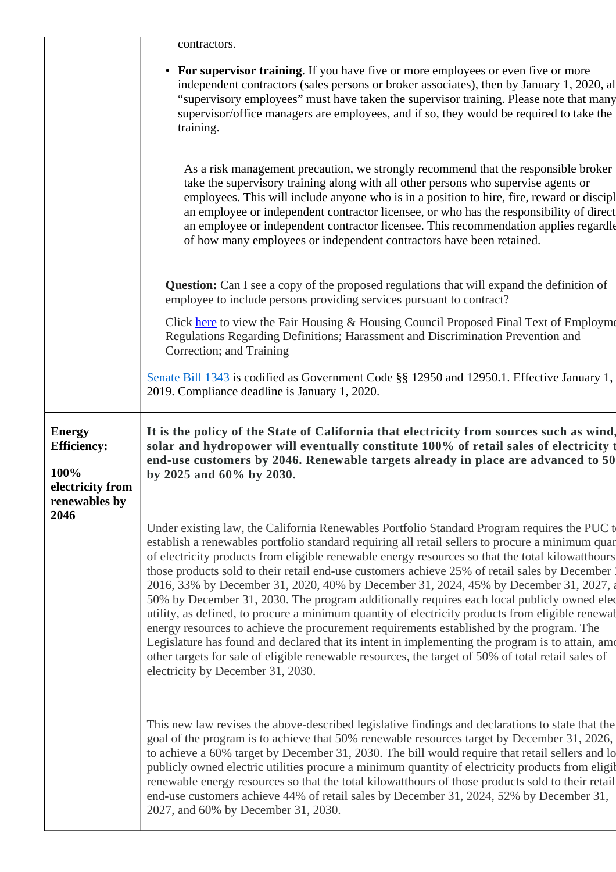|                                                                                  | contractors.                                                                                                                                                                                                                                                                                                                                                                                                                                                                                                                                                                                                                                                                                                                                                                                                                                                                                                                                                                                                                                   |
|----------------------------------------------------------------------------------|------------------------------------------------------------------------------------------------------------------------------------------------------------------------------------------------------------------------------------------------------------------------------------------------------------------------------------------------------------------------------------------------------------------------------------------------------------------------------------------------------------------------------------------------------------------------------------------------------------------------------------------------------------------------------------------------------------------------------------------------------------------------------------------------------------------------------------------------------------------------------------------------------------------------------------------------------------------------------------------------------------------------------------------------|
|                                                                                  | <b>For supervisor training.</b> If you have five or more employees or even five or more<br>$\bullet$<br>independent contractors (sales persons or broker associates), then by January 1, 2020, all<br>"supervisory employees" must have taken the supervisor training. Please note that many<br>supervisor/office managers are employees, and if so, they would be required to take the<br>training.                                                                                                                                                                                                                                                                                                                                                                                                                                                                                                                                                                                                                                           |
|                                                                                  | As a risk management precaution, we strongly recommend that the responsible broker<br>take the supervisory training along with all other persons who supervise agents or<br>employees. This will include anyone who is in a position to hire, fire, reward or discipl<br>an employee or independent contractor licensee, or who has the responsibility of direct<br>an employee or independent contractor licensee. This recommendation applies regardle<br>of how many employees or independent contractors have been retained.                                                                                                                                                                                                                                                                                                                                                                                                                                                                                                               |
|                                                                                  | <b>Question:</b> Can I see a copy of the proposed regulations that will expand the definition of<br>employee to include persons providing services pursuant to contract?                                                                                                                                                                                                                                                                                                                                                                                                                                                                                                                                                                                                                                                                                                                                                                                                                                                                       |
|                                                                                  | Click here to view the Fair Housing & Housing Council Proposed Final Text of Employme<br>Regulations Regarding Definitions; Harassment and Discrimination Prevention and<br>Correction; and Training                                                                                                                                                                                                                                                                                                                                                                                                                                                                                                                                                                                                                                                                                                                                                                                                                                           |
|                                                                                  | Senate Bill 1343 is codified as Government Code §§ 12950 and 12950.1. Effective January 1,<br>2019. Compliance deadline is January 1, 2020.                                                                                                                                                                                                                                                                                                                                                                                                                                                                                                                                                                                                                                                                                                                                                                                                                                                                                                    |
| <b>Energy</b><br><b>Efficiency:</b><br>100%<br>electricity from<br>renewables by | It is the policy of the State of California that electricity from sources such as wind,<br>solar and hydropower will eventually constitute 100% of retail sales of electricity t<br>end-use customers by 2046. Renewable targets already in place are advanced to 50<br>by 2025 and 60% by 2030.                                                                                                                                                                                                                                                                                                                                                                                                                                                                                                                                                                                                                                                                                                                                               |
| 2046                                                                             | Under existing law, the California Renewables Portfolio Standard Program requires the PUC to<br>establish a renewables portfolio standard requiring all retail sellers to procure a minimum quar<br>of electricity products from eligible renewable energy resources so that the total kilowatthours<br>those products sold to their retail end-use customers achieve 25% of retail sales by December (<br>2016, 33% by December 31, 2020, 40% by December 31, 2024, 45% by December 31, 2027, a<br>50% by December 31, 2030. The program additionally requires each local publicly owned elec-<br>utility, as defined, to procure a minimum quantity of electricity products from eligible renewal<br>energy resources to achieve the procurement requirements established by the program. The<br>Legislature has found and declared that its intent in implementing the program is to attain, ame<br>other targets for sale of eligible renewable resources, the target of 50% of total retail sales of<br>electricity by December 31, 2030. |
|                                                                                  | This new law revises the above-described legislative findings and declarations to state that the<br>goal of the program is to achieve that 50% renewable resources target by December 31, 2026,<br>to achieve a 60% target by December 31, 2030. The bill would require that retail sellers and lo<br>publicly owned electric utilities procure a minimum quantity of electricity products from eligib<br>renewable energy resources so that the total kilowatthours of those products sold to their retail<br>end-use customers achieve 44% of retail sales by December 31, 2024, 52% by December 31,<br>2027, and 60% by December 31, 2030.                                                                                                                                                                                                                                                                                                                                                                                                  |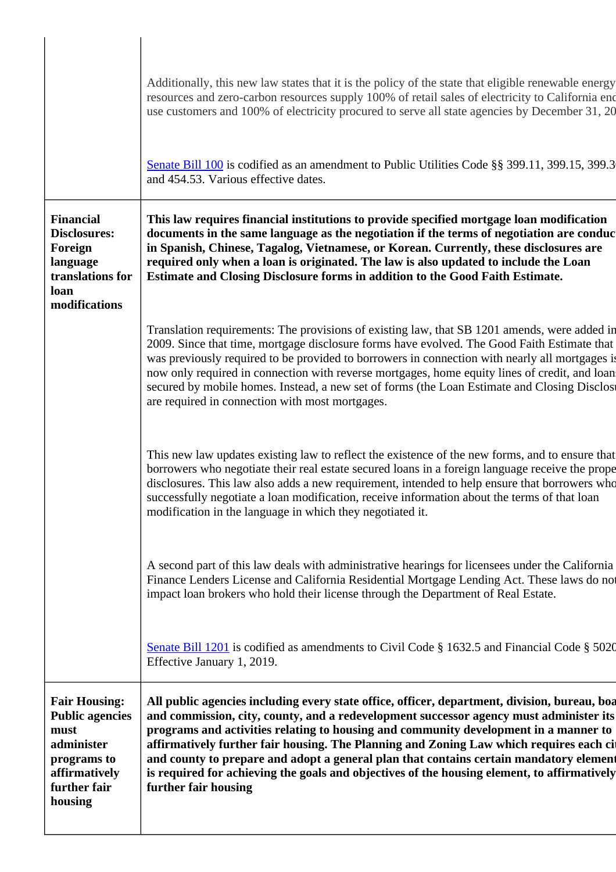|                                                                                                                                 | Additionally, this new law states that it is the policy of the state that eligible renewable energy<br>resources and zero-carbon resources supply 100% of retail sales of electricity to California end<br>use customers and 100% of electricity procured to serve all state agencies by December 31, 20                                                                                                                                                                                                                                                                                   |
|---------------------------------------------------------------------------------------------------------------------------------|--------------------------------------------------------------------------------------------------------------------------------------------------------------------------------------------------------------------------------------------------------------------------------------------------------------------------------------------------------------------------------------------------------------------------------------------------------------------------------------------------------------------------------------------------------------------------------------------|
|                                                                                                                                 | Senate Bill 100 is codified as an amendment to Public Utilities Code §§ 399.11, 399.15, 399.3<br>and 454.53. Various effective dates.                                                                                                                                                                                                                                                                                                                                                                                                                                                      |
| <b>Financial</b><br><b>Disclosures:</b><br>Foreign<br>language<br>translations for<br>loan                                      | This law requires financial institutions to provide specified mortgage loan modification<br>documents in the same language as the negotiation if the terms of negotiation are conduc<br>in Spanish, Chinese, Tagalog, Vietnamese, or Korean. Currently, these disclosures are<br>required only when a loan is originated. The law is also updated to include the Loan<br>Estimate and Closing Disclosure forms in addition to the Good Faith Estimate.                                                                                                                                     |
| modifications                                                                                                                   | Translation requirements: The provisions of existing law, that SB 1201 amends, were added in<br>2009. Since that time, mortgage disclosure forms have evolved. The Good Faith Estimate that<br>was previously required to be provided to borrowers in connection with nearly all mortgages is<br>now only required in connection with reverse mortgages, home equity lines of credit, and loan<br>secured by mobile homes. Instead, a new set of forms (the Loan Estimate and Closing Disclose<br>are required in connection with most mortgages.                                          |
|                                                                                                                                 | This new law updates existing law to reflect the existence of the new forms, and to ensure that<br>borrowers who negotiate their real estate secured loans in a foreign language receive the prope<br>disclosures. This law also adds a new requirement, intended to help ensure that borrowers who<br>successfully negotiate a loan modification, receive information about the terms of that loan<br>modification in the language in which they negotiated it.                                                                                                                           |
|                                                                                                                                 | A second part of this law deals with administrative hearings for licensees under the California<br>Finance Lenders License and California Residential Mortgage Lending Act. These laws do not<br>impact loan brokers who hold their license through the Department of Real Estate.                                                                                                                                                                                                                                                                                                         |
|                                                                                                                                 | Senate Bill 1201 is codified as amendments to Civil Code $\S$ 1632.5 and Financial Code $\S$ 5020<br>Effective January 1, 2019.                                                                                                                                                                                                                                                                                                                                                                                                                                                            |
| <b>Fair Housing:</b><br><b>Public agencies</b><br>must<br>administer<br>programs to<br>affirmatively<br>further fair<br>housing | All public agencies including every state office, officer, department, division, bureau, boa<br>and commission, city, county, and a redevelopment successor agency must administer its<br>programs and activities relating to housing and community development in a manner to<br>affirmatively further fair housing. The Planning and Zoning Law which requires each cit<br>and county to prepare and adopt a general plan that contains certain mandatory element<br>is required for achieving the goals and objectives of the housing element, to affirmatively<br>further fair housing |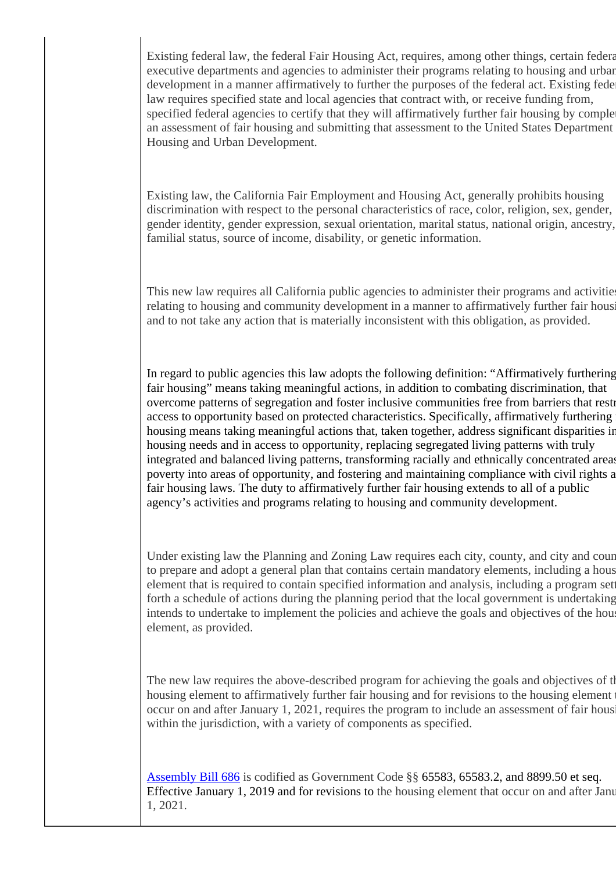Existing federal law, the federal Fair Housing Act, requires, among other things, certain federal executive departments and agencies to administer their programs relating to housing and urban development in a manner affirmatively to further the purposes of the federal act. Existing fede law requires specified state and local agencies that contract with, or receive funding from, specified federal agencies to certify that they will affirmatively further fair housing by comple an assessment of fair housing and submitting that assessment to the United States Department Housing and Urban Development.

Existing law, the California Fair Employment and Housing Act, generally prohibits housing discrimination with respect to the personal characteristics of race, color, religion, sex, gender, gender identity, gender expression, sexual orientation, marital status, national origin, ancestry, familial status, source of income, disability, or genetic information.

This new law requires all California public agencies to administer their programs and activities relating to housing and community development in a manner to affirmatively further fair housing and to not take any action that is materially inconsistent with this obligation, as provided.

In regard to public agencies this law adopts the following definition: "Affirmatively furthering fair housing" means taking meaningful actions, in addition to combating discrimination, that overcome patterns of segregation and foster inclusive communities free from barriers that restrictionaccess to opportunity based on protected characteristics. Specifically, affirmatively furthering housing means taking meaningful actions that, taken together, address significant disparities in housing needs and in access to opportunity, replacing segregated living patterns with truly integrated and balanced living patterns, transforming racially and ethnically concentrated areas poverty into areas of opportunity, and fostering and maintaining compliance with civil rights a fair housing laws. The duty to affirmatively further fair housing extends to all of a public agency's activities and programs relating to housing and community development.

Under existing law the Planning and Zoning Law requires each city, county, and city and count to prepare and adopt a general plan that contains certain mandatory elements, including a hous element that is required to contain specified information and analysis, including a program setting forth a schedule of actions during the planning period that the local government is undertaking intends to undertake to implement the policies and achieve the goals and objectives of the house element, as provided.

The new law requires the above-described program for achieving the goals and objectives of the housing element to affirmatively further fair housing and for revisions to the housing element occur on and after January 1, 2021, requires the program to include an assessment of fair hous within the jurisdiction, with a variety of components as specified.

[Assembly Bill 686](https://leginfo.legislature.ca.gov/faces/billTextClient.xhtml?bill_id=201720180AB686) is codified as Government Code §§ 65583, 65583.2, and 8899.50 et seq. Effective January 1, 2019 and for revisions to the housing element that occur on and after January 1, 2021.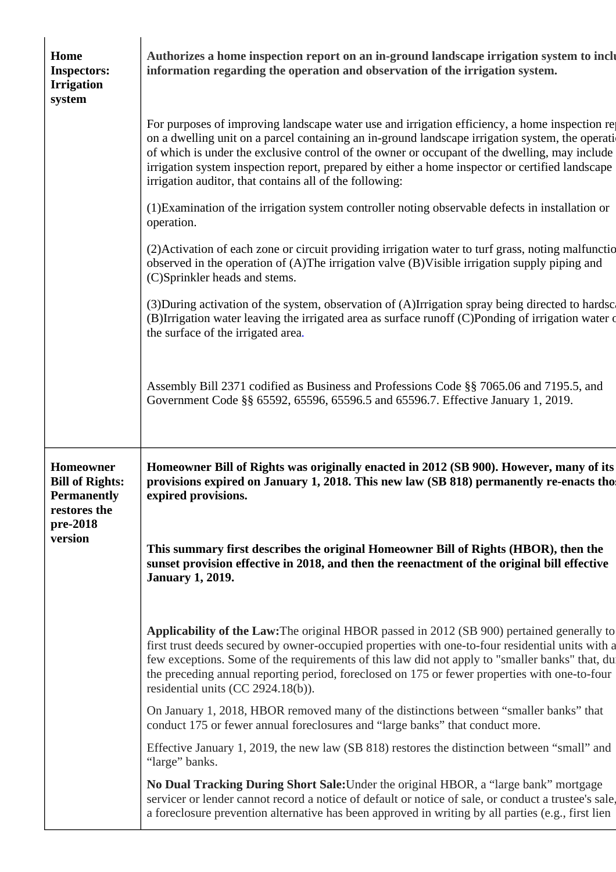| Home<br><b>Inspectors:</b><br><b>Irrigation</b><br>system                 | Authorizes a home inspection report on an in-ground landscape irrigation system to inclu<br>information regarding the operation and observation of the irrigation system.                                                                                                                                                                                                                                                                                                                                                                                                                                                                                                                                                                                        |
|---------------------------------------------------------------------------|------------------------------------------------------------------------------------------------------------------------------------------------------------------------------------------------------------------------------------------------------------------------------------------------------------------------------------------------------------------------------------------------------------------------------------------------------------------------------------------------------------------------------------------------------------------------------------------------------------------------------------------------------------------------------------------------------------------------------------------------------------------|
|                                                                           | For purposes of improving landscape water use and irrigation efficiency, a home inspection re-<br>on a dwelling unit on a parcel containing an in-ground landscape irrigation system, the operation<br>of which is under the exclusive control of the owner or occupant of the dwelling, may include<br>irrigation system inspection report, prepared by either a home inspector or certified landscape<br>irrigation auditor, that contains all of the following:                                                                                                                                                                                                                                                                                               |
|                                                                           | (1) Examination of the irrigation system controller noting observable defects in installation or<br>operation.                                                                                                                                                                                                                                                                                                                                                                                                                                                                                                                                                                                                                                                   |
|                                                                           | (2) Activation of each zone or circuit providing irrigation water to turf grass, noting malfunctio<br>observed in the operation of (A)The irrigation valve (B)Visible irrigation supply piping and<br>(C)Sprinkler heads and stems.                                                                                                                                                                                                                                                                                                                                                                                                                                                                                                                              |
|                                                                           | (3) During activation of the system, observation of (A) Irrigation spray being directed to hardsc<br>(B)Irrigation water leaving the irrigated area as surface runoff (C)Ponding of irrigation water of<br>the surface of the irrigated area.                                                                                                                                                                                                                                                                                                                                                                                                                                                                                                                    |
|                                                                           | Assembly Bill 2371 codified as Business and Professions Code §§ 7065.06 and 7195.5, and<br>Government Code §§ 65592, 65596, 65596.5 and 65596.7. Effective January 1, 2019.                                                                                                                                                                                                                                                                                                                                                                                                                                                                                                                                                                                      |
|                                                                           |                                                                                                                                                                                                                                                                                                                                                                                                                                                                                                                                                                                                                                                                                                                                                                  |
| Homeowner<br><b>Bill of Rights:</b><br><b>Permanently</b><br>restores the | expired provisions.                                                                                                                                                                                                                                                                                                                                                                                                                                                                                                                                                                                                                                                                                                                                              |
| pre-2018<br>version                                                       | This summary first describes the original Homeowner Bill of Rights (HBOR), then the<br>sunset provision effective in 2018, and then the reenactment of the original bill effective<br><b>January 1, 2019.</b>                                                                                                                                                                                                                                                                                                                                                                                                                                                                                                                                                    |
|                                                                           | residential units (CC 2924.18(b)).                                                                                                                                                                                                                                                                                                                                                                                                                                                                                                                                                                                                                                                                                                                               |
|                                                                           | Homeowner Bill of Rights was originally enacted in 2012 (SB 900). However, many of its<br>provisions expired on January 1, 2018. This new law (SB 818) permanently re-enacts tho<br>Applicability of the Law: The original HBOR passed in 2012 (SB 900) pertained generally to<br>first trust deeds secured by owner-occupied properties with one-to-four residential units with a<br>few exceptions. Some of the requirements of this law did not apply to "smaller banks" that, du<br>the preceding annual reporting period, foreclosed on 175 or fewer properties with one-to-four<br>On January 1, 2018, HBOR removed many of the distinctions between "smaller banks" that<br>conduct 175 or fewer annual foreclosures and "large banks" that conduct more. |
|                                                                           | Effective January 1, 2019, the new law (SB 818) restores the distinction between "small" and<br>"large" banks.                                                                                                                                                                                                                                                                                                                                                                                                                                                                                                                                                                                                                                                   |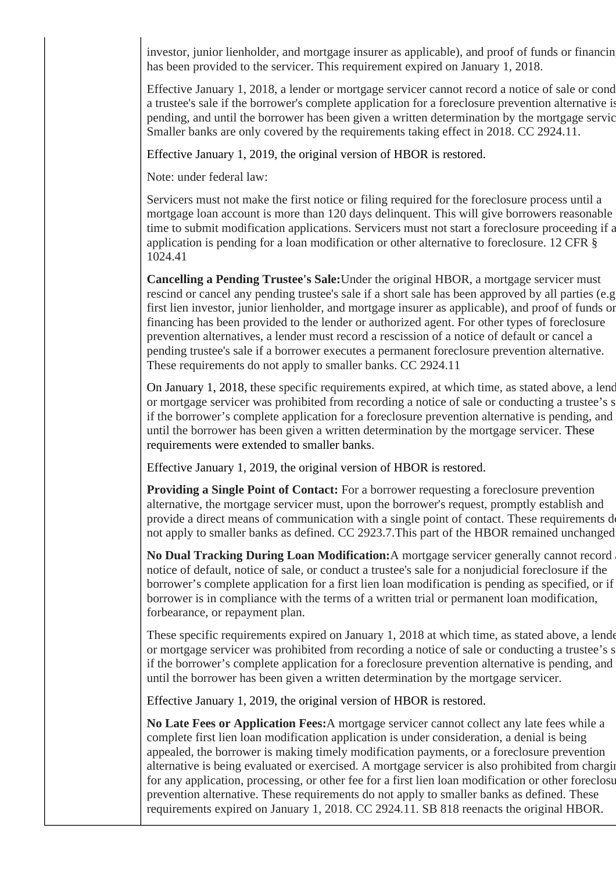investor, junior lienholder, and mortgage insurer as applicable), and proof of funds or financing has been provided to the servicer. This requirement expired on January 1, 2018.

Effective January 1, 2018, a lender or mortgage servicer cannot record a notice of sale or cond a trustee's sale if the borrower's complete application for a foreclosure prevention alternative is pending, and until the borrower has been given a written determination by the mortgage service Smaller banks are only covered by the requirements taking effect in 2018. CC 2924.11.

Effective January 1, 2019, the original version of HBOR is restored.

Note: under federal law:

Servicers must not make the first notice or filing required for the foreclosure process until a mortgage loan account is more than 120 days delinquent. This will give borrowers reasonable time to submit modification applications. Servicers must not start a foreclosure proceeding if a application is pending for a loan modification or other alternative to foreclosure. 12 CFR § 1024.41

**Cancelling a Pending Trustee's Sale:**Under the original HBOR, a mortgage servicer must rescind or cancel any pending trustee's sale if a short sale has been approved by all parties (e.g., first lien investor, junior lienholder, and mortgage insurer as applicable), and proof of funds or financing has been provided to the lender or authorized agent. For other types of foreclosure prevention alternatives, a lender must record a rescission of a notice of default or cancel a pending trustee's sale if a borrower executes a permanent foreclosure prevention alternative. These requirements do not apply to smaller banks. CC 2924.11

On January 1, 2018, these specific requirements expired, at which time, as stated above, a lend or mortgage servicer was prohibited from recording a notice of sale or conducting a trustee's s if the borrower's complete application for a foreclosure prevention alternative is pending, and until the borrower has been given a written determination by the mortgage servicer. These requirements were extended to smaller banks.

Effective January 1, 2019, the original version of HBOR is restored.

**Providing a Single Point of Contact:** For a borrower requesting a foreclosure prevention alternative, the mortgage servicer must, upon the borrower's request, promptly establish and provide a direct means of communication with a single point of contact. These requirements do not apply to smaller banks as defined. CC 2923.7.This part of the HBOR remained unchanged.

No Dual Tracking During Loan Modification: A mortgage servicer generally cannot record notice of default, notice of sale, or conduct a trustee's sale for a nonjudicial foreclosure if the borrower's complete application for a first lien loan modification is pending as specified, or if borrower is in compliance with the terms of a written trial or permanent loan modification, forbearance, or repayment plan.

These specific requirements expired on January 1, 2018 at which time, as stated above, a lender or mortgage servicer was prohibited from recording a notice of sale or conducting a trustee's s if the borrower's complete application for a foreclosure prevention alternative is pending, and until the borrower has been given a written determination by the mortgage servicer.

Effective January 1, 2019, the original version of HBOR is restored.

**No Late Fees or Application Fees:**A mortgage servicer cannot collect any late fees while a complete first lien loan modification application is under consideration, a denial is being appealed, the borrower is making timely modification payments, or a foreclosure prevention alternative is being evaluated or exercised. A mortgage servicer is also prohibited from charging for any application, processing, or other fee for a first lien loan modification or other foreclosure prevention alternative. These requirements do not apply to smaller banks as defined. These requirements expired on January 1, 2018. CC 2924.11. SB 818 reenacts the original HBOR.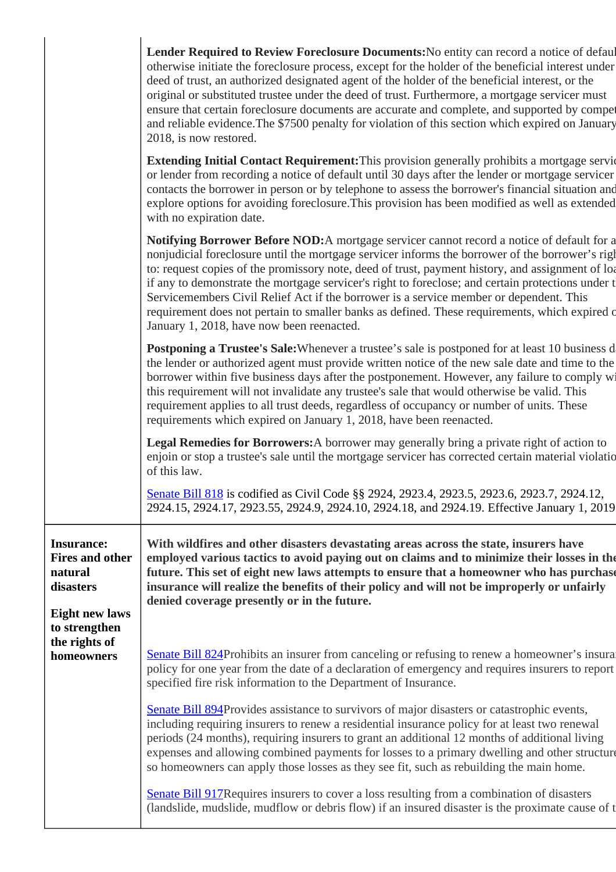|  |                                                                                                               | Lender Required to Review Foreclosure Documents: No entity can record a notice of defaul<br>otherwise initiate the foreclosure process, except for the holder of the beneficial interest under<br>deed of trust, an authorized designated agent of the holder of the beneficial interest, or the<br>original or substituted trustee under the deed of trust. Furthermore, a mortgage servicer must<br>ensure that certain foreclosure documents are accurate and complete, and supported by compet<br>and reliable evidence. The \$7500 penalty for violation of this section which expired on January<br>2018, is now restored.                 |
|--|---------------------------------------------------------------------------------------------------------------|--------------------------------------------------------------------------------------------------------------------------------------------------------------------------------------------------------------------------------------------------------------------------------------------------------------------------------------------------------------------------------------------------------------------------------------------------------------------------------------------------------------------------------------------------------------------------------------------------------------------------------------------------|
|  |                                                                                                               | <b>Extending Initial Contact Requirement:</b> This provision generally prohibits a mortgage service<br>or lender from recording a notice of default until 30 days after the lender or mortgage servicer<br>contacts the borrower in person or by telephone to assess the borrower's financial situation and<br>explore options for avoiding foreclosure. This provision has been modified as well as extended<br>with no expiration date.                                                                                                                                                                                                        |
|  |                                                                                                               | Notifying Borrower Before NOD: A mortgage servicer cannot record a notice of default for a<br>nonjudicial foreclosure until the mortgage servicer informs the borrower of the borrower's right<br>to: request copies of the promissory note, deed of trust, payment history, and assignment of loa<br>if any to demonstrate the mortgage servicer's right to foreclose; and certain protections under t<br>Servicemembers Civil Relief Act if the borrower is a service member or dependent. This<br>requirement does not pertain to smaller banks as defined. These requirements, which expired of<br>January 1, 2018, have now been reenacted. |
|  |                                                                                                               | Postponing a Trustee's Sale: Whenever a trustee's sale is postponed for at least 10 business d<br>the lender or authorized agent must provide written notice of the new sale date and time to the<br>borrower within five business days after the postponement. However, any failure to comply wi<br>this requirement will not invalidate any trustee's sale that would otherwise be valid. This<br>requirement applies to all trust deeds, regardless of occupancy or number of units. These<br>requirements which expired on January 1, 2018, have been reenacted.                                                                             |
|  |                                                                                                               | Legal Remedies for Borrowers: A borrower may generally bring a private right of action to<br>enjoin or stop a trustee's sale until the mortgage servicer has corrected certain material violatio<br>of this law.                                                                                                                                                                                                                                                                                                                                                                                                                                 |
|  |                                                                                                               | Senate Bill 818 is codified as Civil Code §§ 2924, 2923.4, 2923.5, 2923.6, 2923.7, 2924.12,<br>2924.15, 2924.17, 2923.55, 2924.9, 2924.10, 2924.18, and 2924.19. Effective January 1, 2019                                                                                                                                                                                                                                                                                                                                                                                                                                                       |
|  | <b>Insurance:</b><br><b>Fires and other</b><br>natural<br>disasters<br><b>Eight new laws</b><br>to strengthen | With wildfires and other disasters devastating areas across the state, insurers have<br>employed various tactics to avoid paying out on claims and to minimize their losses in the<br>future. This set of eight new laws attempts to ensure that a homeowner who has purchase<br>insurance will realize the benefits of their policy and will not be improperly or unfairly<br>denied coverage presently or in the future.                                                                                                                                                                                                                       |
|  | the rights of<br>homeowners                                                                                   | <b>Senate Bill 824</b> Prohibits an insurer from canceling or refusing to renew a homeowner's insural<br>policy for one year from the date of a declaration of emergency and requires insurers to report<br>specified fire risk information to the Department of Insurance.                                                                                                                                                                                                                                                                                                                                                                      |
|  |                                                                                                               | <b>Senate Bill 894Provides assistance to survivors of major disasters or catastrophic events,</b><br>including requiring insurers to renew a residential insurance policy for at least two renewal<br>periods (24 months), requiring insurers to grant an additional 12 months of additional living<br>expenses and allowing combined payments for losses to a primary dwelling and other structure<br>so homeowners can apply those losses as they see fit, such as rebuilding the main home.                                                                                                                                                   |
|  |                                                                                                               | <b>Senate Bill 917 Requires insurers to cover a loss resulting from a combination of disasters</b><br>(landslide, mudslide, mudflow or debris flow) if an insured disaster is the proximate cause of t                                                                                                                                                                                                                                                                                                                                                                                                                                           |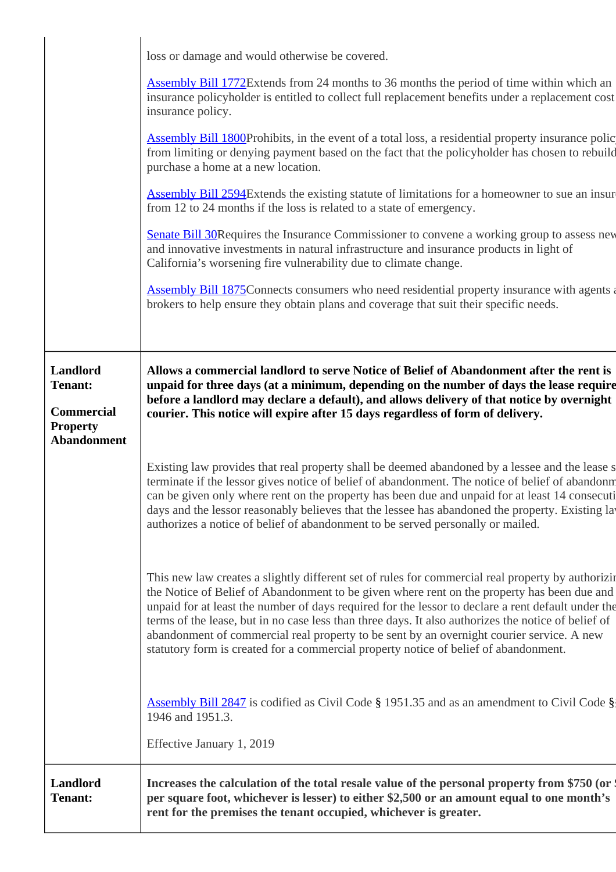|                                                                    | loss or damage and would otherwise be covered.                                                                                                                                                                                                                                                                                                                                                                                                                                                                                                                                                      |
|--------------------------------------------------------------------|-----------------------------------------------------------------------------------------------------------------------------------------------------------------------------------------------------------------------------------------------------------------------------------------------------------------------------------------------------------------------------------------------------------------------------------------------------------------------------------------------------------------------------------------------------------------------------------------------------|
|                                                                    | <b>Assembly Bill 1772</b> Extends from 24 months to 36 months the period of time within which an<br>insurance policyholder is entitled to collect full replacement benefits under a replacement cost<br>insurance policy.                                                                                                                                                                                                                                                                                                                                                                           |
|                                                                    | <b>Assembly Bill 1800Prohibits, in the event of a total loss, a residential property insurance polic</b><br>from limiting or denying payment based on the fact that the policyholder has chosen to rebuild<br>purchase a home at a new location.                                                                                                                                                                                                                                                                                                                                                    |
|                                                                    | <b>Assembly Bill 2594</b> Extends the existing statute of limitations for a homeowner to sue an insur<br>from 12 to 24 months if the loss is related to a state of emergency.                                                                                                                                                                                                                                                                                                                                                                                                                       |
|                                                                    | <b>Senate Bill 30 Requires the Insurance Commissioner to convene a working group to assess new</b><br>and innovative investments in natural infrastructure and insurance products in light of<br>California's worsening fire vulnerability due to climate change.                                                                                                                                                                                                                                                                                                                                   |
|                                                                    | <b>Assembly Bill 1875</b> Connects consumers who need residential property insurance with agents a<br>brokers to help ensure they obtain plans and coverage that suit their specific needs.                                                                                                                                                                                                                                                                                                                                                                                                         |
|                                                                    |                                                                                                                                                                                                                                                                                                                                                                                                                                                                                                                                                                                                     |
| Landlord<br><b>Tenant:</b><br><b>Commercial</b><br><b>Property</b> | Allows a commercial landlord to serve Notice of Belief of Abandonment after the rent is<br>unpaid for three days (at a minimum, depending on the number of days the lease require<br>before a landlord may declare a default), and allows delivery of that notice by overnight<br>courier. This notice will expire after 15 days regardless of form of delivery.                                                                                                                                                                                                                                    |
| <b>Abandonment</b>                                                 |                                                                                                                                                                                                                                                                                                                                                                                                                                                                                                                                                                                                     |
|                                                                    | Existing law provides that real property shall be deemed abandoned by a lessee and the lease s<br>terminate if the lessor gives notice of belief of abandonment. The notice of belief of abandonm<br>can be given only where rent on the property has been due and unpaid for at least 14 consecuti<br>days and the lessor reasonably believes that the lessee has abandoned the property. Existing lay<br>authorizes a notice of belief of abandonment to be served personally or mailed.                                                                                                          |
|                                                                    | This new law creates a slightly different set of rules for commercial real property by authorizing<br>the Notice of Belief of Abandonment to be given where rent on the property has been due and<br>unpaid for at least the number of days required for the lessor to declare a rent default under the<br>terms of the lease, but in no case less than three days. It also authorizes the notice of belief of<br>abandonment of commercial real property to be sent by an overnight courier service. A new<br>statutory form is created for a commercial property notice of belief of abandonment. |
|                                                                    | <b>Assembly Bill 2847</b> is codified as Civil Code § 1951.35 and as an amendment to Civil Code §<br>1946 and 1951.3.                                                                                                                                                                                                                                                                                                                                                                                                                                                                               |
|                                                                    | Effective January 1, 2019                                                                                                                                                                                                                                                                                                                                                                                                                                                                                                                                                                           |
| Landlord<br><b>Tenant:</b>                                         | Increases the calculation of the total resale value of the personal property from \$750 (or \$<br>per square foot, whichever is lesser) to either \$2,500 or an amount equal to one month's<br>rent for the premises the tenant occupied, whichever is greater.                                                                                                                                                                                                                                                                                                                                     |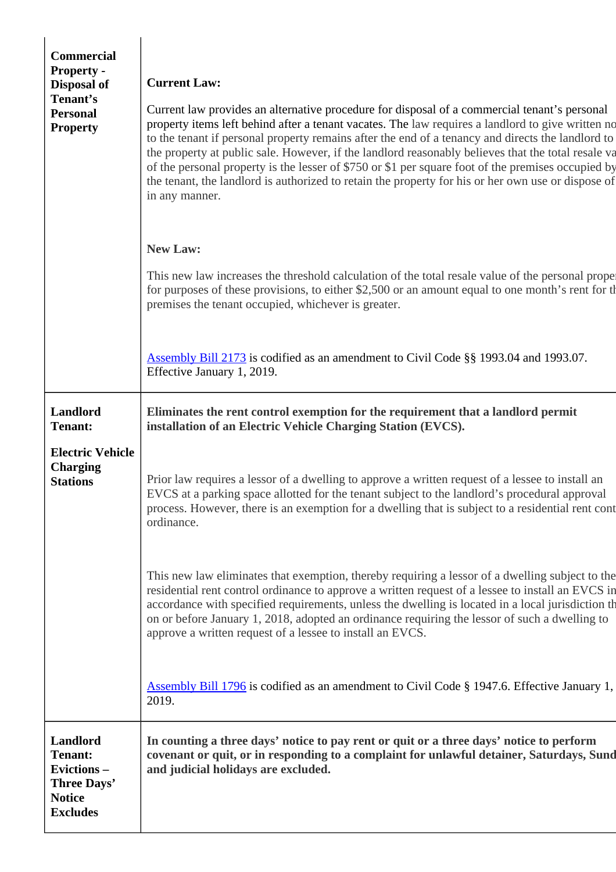| <b>Commercial</b><br><b>Property -</b><br>Disposal of<br>Tenant's<br><b>Personal</b><br><b>Property</b> | <b>Current Law:</b><br>Current law provides an alternative procedure for disposal of a commercial tenant's personal<br>property items left behind after a tenant vacates. The law requires a landlord to give written no<br>to the tenant if personal property remains after the end of a tenancy and directs the landlord to<br>the property at public sale. However, if the landlord reasonably believes that the total resale va<br>of the personal property is the lesser of \$750 or \$1 per square foot of the premises occupied by<br>the tenant, the landlord is authorized to retain the property for his or her own use or dispose of<br>in any manner.<br><b>New Law:</b> |
|---------------------------------------------------------------------------------------------------------|--------------------------------------------------------------------------------------------------------------------------------------------------------------------------------------------------------------------------------------------------------------------------------------------------------------------------------------------------------------------------------------------------------------------------------------------------------------------------------------------------------------------------------------------------------------------------------------------------------------------------------------------------------------------------------------|
|                                                                                                         | This new law increases the threshold calculation of the total resale value of the personal proper<br>for purposes of these provisions, to either \$2,500 or an amount equal to one month's rent for the<br>premises the tenant occupied, whichever is greater.                                                                                                                                                                                                                                                                                                                                                                                                                       |
|                                                                                                         | <b>Assembly Bill 2173</b> is codified as an amendment to Civil Code §§ 1993.04 and 1993.07.<br>Effective January 1, 2019.                                                                                                                                                                                                                                                                                                                                                                                                                                                                                                                                                            |
| <b>Landlord</b><br><b>Tenant:</b>                                                                       | Eliminates the rent control exemption for the requirement that a landlord permit<br>installation of an Electric Vehicle Charging Station (EVCS).                                                                                                                                                                                                                                                                                                                                                                                                                                                                                                                                     |
| <b>Electric Vehicle</b><br><b>Charging</b><br><b>Stations</b>                                           | Prior law requires a lessor of a dwelling to approve a written request of a lessee to install an<br>EVCS at a parking space allotted for the tenant subject to the landlord's procedural approval<br>process. However, there is an exemption for a dwelling that is subject to a residential rent cont<br>ordinance.                                                                                                                                                                                                                                                                                                                                                                 |
|                                                                                                         | This new law eliminates that exemption, thereby requiring a lessor of a dwelling subject to the<br>residential rent control ordinance to approve a written request of a lessee to install an EVCS in<br>accordance with specified requirements, unless the dwelling is located in a local jurisdiction th<br>on or before January 1, 2018, adopted an ordinance requiring the lessor of such a dwelling to<br>approve a written request of a lessee to install an EVCS.                                                                                                                                                                                                              |
|                                                                                                         | <b>Assembly Bill 1796</b> is codified as an amendment to Civil Code § 1947.6. Effective January 1,<br>2019.                                                                                                                                                                                                                                                                                                                                                                                                                                                                                                                                                                          |
| <b>Landlord</b><br><b>Tenant:</b><br>Evictions-<br>Three Days'<br><b>Notice</b><br><b>Excludes</b>      | In counting a three days' notice to pay rent or quit or a three days' notice to perform<br>covenant or quit, or in responding to a complaint for unlawful detainer, Saturdays, Sund<br>and judicial holidays are excluded.                                                                                                                                                                                                                                                                                                                                                                                                                                                           |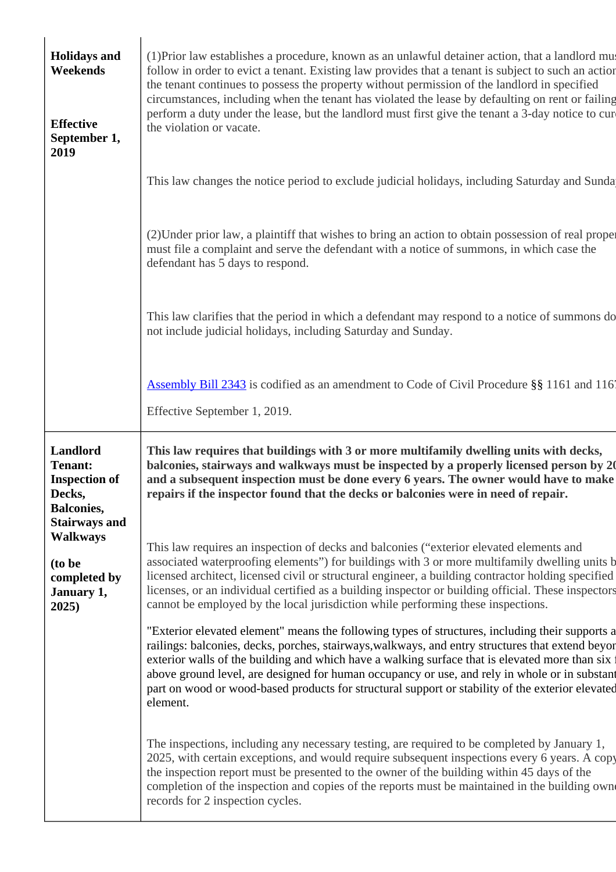| <b>Holidays and</b><br>Weekends<br><b>Effective</b><br>September 1,<br>2019                               | (1) Prior law establishes a procedure, known as an unlawful detainer action, that a landlord must<br>follow in order to evict a tenant. Existing law provides that a tenant is subject to such an action<br>the tenant continues to possess the property without permission of the landlord in specified<br>circumstances, including when the tenant has violated the lease by defaulting on rent or failing<br>perform a duty under the lease, but the landlord must first give the tenant a 3-day notice to cur-<br>the violation or vacate.                                                                                                                                                                                                                                                                                                                                                                                                                                                                            |
|-----------------------------------------------------------------------------------------------------------|---------------------------------------------------------------------------------------------------------------------------------------------------------------------------------------------------------------------------------------------------------------------------------------------------------------------------------------------------------------------------------------------------------------------------------------------------------------------------------------------------------------------------------------------------------------------------------------------------------------------------------------------------------------------------------------------------------------------------------------------------------------------------------------------------------------------------------------------------------------------------------------------------------------------------------------------------------------------------------------------------------------------------|
|                                                                                                           | This law changes the notice period to exclude judicial holidays, including Saturday and Sunda                                                                                                                                                                                                                                                                                                                                                                                                                                                                                                                                                                                                                                                                                                                                                                                                                                                                                                                             |
|                                                                                                           | (2) Under prior law, a plaintiff that wishes to bring an action to obtain possession of real proper<br>must file a complaint and serve the defendant with a notice of summons, in which case the<br>defendant has 5 days to respond.                                                                                                                                                                                                                                                                                                                                                                                                                                                                                                                                                                                                                                                                                                                                                                                      |
|                                                                                                           | This law clarifies that the period in which a defendant may respond to a notice of summons do<br>not include judicial holidays, including Saturday and Sunday.                                                                                                                                                                                                                                                                                                                                                                                                                                                                                                                                                                                                                                                                                                                                                                                                                                                            |
|                                                                                                           | <b>Assembly Bill 2343</b> is codified as an amendment to Code of Civil Procedure §§ 1161 and 116<br>Effective September 1, 2019.                                                                                                                                                                                                                                                                                                                                                                                                                                                                                                                                                                                                                                                                                                                                                                                                                                                                                          |
|                                                                                                           |                                                                                                                                                                                                                                                                                                                                                                                                                                                                                                                                                                                                                                                                                                                                                                                                                                                                                                                                                                                                                           |
| Landlord<br><b>Tenant:</b><br><b>Inspection of</b><br>Decks,<br><b>Balconies,</b><br><b>Stairways and</b> | This law requires that buildings with 3 or more multifamily dwelling units with decks,<br>repairs if the inspector found that the decks or balconies were in need of repair.                                                                                                                                                                                                                                                                                                                                                                                                                                                                                                                                                                                                                                                                                                                                                                                                                                              |
| <b>Walkways</b><br>(to be<br>completed by<br>January 1,<br>2025)                                          | This law requires an inspection of decks and balconies ("exterior elevated elements and<br>cannot be employed by the local jurisdiction while performing these inspections.                                                                                                                                                                                                                                                                                                                                                                                                                                                                                                                                                                                                                                                                                                                                                                                                                                               |
|                                                                                                           | balconies, stairways and walkways must be inspected by a properly licensed person by 20<br>and a subsequent inspection must be done every 6 years. The owner would have to make<br>associated waterproofing elements") for buildings with 3 or more multifamily dwelling units b<br>licensed architect, licensed civil or structural engineer, a building contractor holding specified<br>licenses, or an individual certified as a building inspector or building official. These inspectors<br>"Exterior elevated element" means the following types of structures, including their supports a<br>railings: balconies, decks, porches, stairways, walkways, and entry structures that extend beyon<br>exterior walls of the building and which have a walking surface that is elevated more than six f<br>above ground level, are designed for human occupancy or use, and rely in whole or in substant<br>part on wood or wood-based products for structural support or stability of the exterior elevated<br>element. |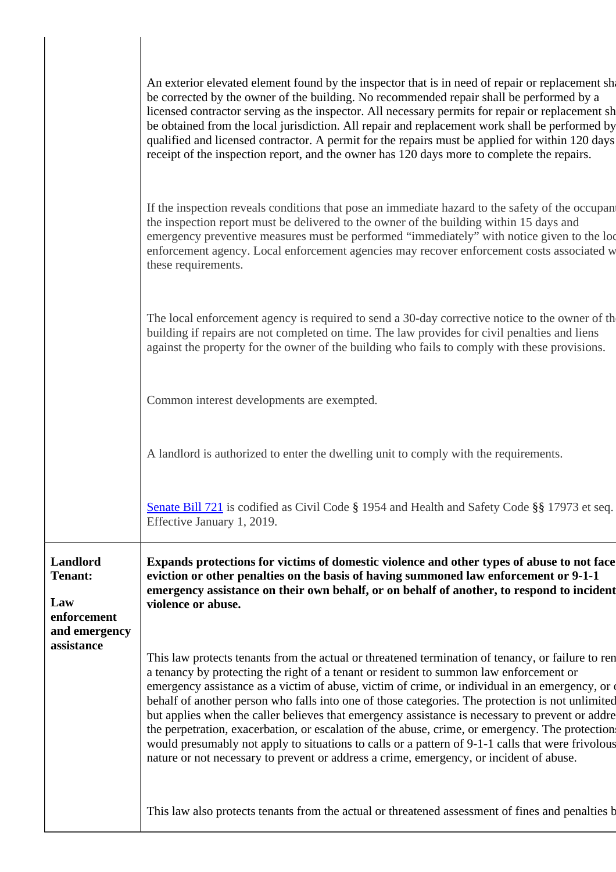|                                                            | An exterior elevated element found by the inspector that is in need of repair or replacement sha<br>be corrected by the owner of the building. No recommended repair shall be performed by a<br>licensed contractor serving as the inspector. All necessary permits for repair or replacement sh<br>be obtained from the local jurisdiction. All repair and replacement work shall be performed by<br>qualified and licensed contractor. A permit for the repairs must be applied for within 120 days<br>receipt of the inspection report, and the owner has 120 days more to complete the repairs.                                                                                                                                                                                                       |
|------------------------------------------------------------|-----------------------------------------------------------------------------------------------------------------------------------------------------------------------------------------------------------------------------------------------------------------------------------------------------------------------------------------------------------------------------------------------------------------------------------------------------------------------------------------------------------------------------------------------------------------------------------------------------------------------------------------------------------------------------------------------------------------------------------------------------------------------------------------------------------|
|                                                            | If the inspection reveals conditions that pose an immediate hazard to the safety of the occupant<br>the inspection report must be delivered to the owner of the building within 15 days and<br>emergency preventive measures must be performed "immediately" with notice given to the loc<br>enforcement agency. Local enforcement agencies may recover enforcement costs associated w<br>these requirements.                                                                                                                                                                                                                                                                                                                                                                                             |
|                                                            | The local enforcement agency is required to send a 30-day corrective notice to the owner of the<br>building if repairs are not completed on time. The law provides for civil penalties and liens<br>against the property for the owner of the building who fails to comply with these provisions.                                                                                                                                                                                                                                                                                                                                                                                                                                                                                                         |
|                                                            | Common interest developments are exempted.                                                                                                                                                                                                                                                                                                                                                                                                                                                                                                                                                                                                                                                                                                                                                                |
|                                                            | A landlord is authorized to enter the dwelling unit to comply with the requirements.                                                                                                                                                                                                                                                                                                                                                                                                                                                                                                                                                                                                                                                                                                                      |
|                                                            | Senate Bill 721 is codified as Civil Code § 1954 and Health and Safety Code §§ 17973 et seq.<br>Effective January 1, 2019.                                                                                                                                                                                                                                                                                                                                                                                                                                                                                                                                                                                                                                                                                |
| Landlord<br>Tenant:<br>Law<br>enforcement<br>and emergency | Expands protections for victims of domestic violence and other types of abuse to not face<br>eviction or other penalties on the basis of having summoned law enforcement or 9-1-1<br>emergency assistance on their own behalf, or on behalf of another, to respond to incident<br>violence or abuse.                                                                                                                                                                                                                                                                                                                                                                                                                                                                                                      |
| assistance                                                 | This law protects tenants from the actual or threatened termination of tenancy, or failure to ren<br>a tenancy by protecting the right of a tenant or resident to summon law enforcement or<br>emergency assistance as a victim of abuse, victim of crime, or individual in an emergency, or of<br>behalf of another person who falls into one of those categories. The protection is not unlimited<br>but applies when the caller believes that emergency assistance is necessary to prevent or addre<br>the perpetration, exacerbation, or escalation of the abuse, crime, or emergency. The protection<br>would presumably not apply to situations to calls or a pattern of 9-1-1 calls that were frivolous<br>nature or not necessary to prevent or address a crime, emergency, or incident of abuse. |
|                                                            | This law also protects tenants from the actual or threatened assessment of fines and penalties b                                                                                                                                                                                                                                                                                                                                                                                                                                                                                                                                                                                                                                                                                                          |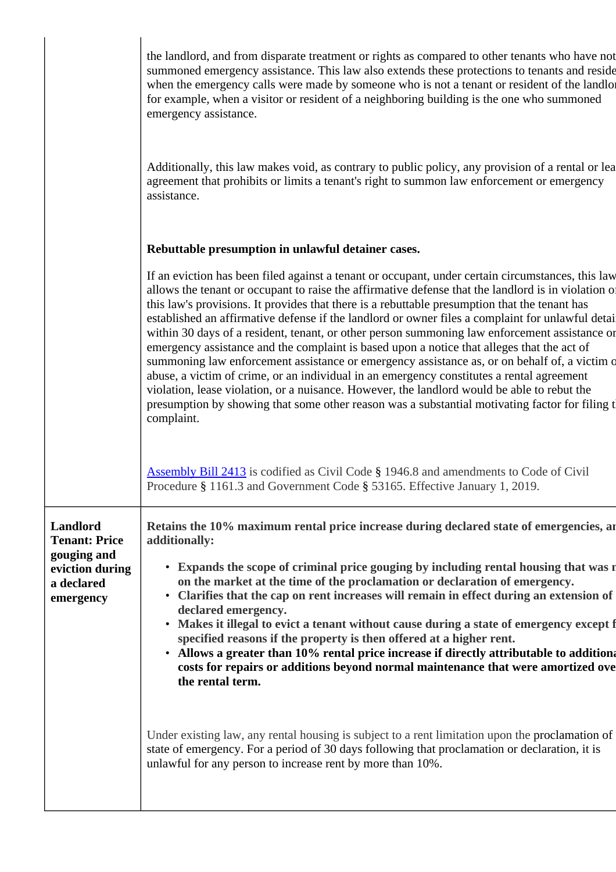|                                                 | the landlord, and from disparate treatment or rights as compared to other tenants who have not<br>summoned emergency assistance. This law also extends these protections to tenants and reside<br>when the emergency calls were made by someone who is not a tenant or resident of the landlor<br>for example, when a visitor or resident of a neighboring building is the one who summoned<br>emergency assistance.                                                                                                                                                                                                                                                                                                                                                                                                                                                                                                                                                                                                     |
|-------------------------------------------------|--------------------------------------------------------------------------------------------------------------------------------------------------------------------------------------------------------------------------------------------------------------------------------------------------------------------------------------------------------------------------------------------------------------------------------------------------------------------------------------------------------------------------------------------------------------------------------------------------------------------------------------------------------------------------------------------------------------------------------------------------------------------------------------------------------------------------------------------------------------------------------------------------------------------------------------------------------------------------------------------------------------------------|
|                                                 | Additionally, this law makes void, as contrary to public policy, any provision of a rental or lea<br>agreement that prohibits or limits a tenant's right to summon law enforcement or emergency<br>assistance.                                                                                                                                                                                                                                                                                                                                                                                                                                                                                                                                                                                                                                                                                                                                                                                                           |
|                                                 | Rebuttable presumption in unlawful detainer cases.                                                                                                                                                                                                                                                                                                                                                                                                                                                                                                                                                                                                                                                                                                                                                                                                                                                                                                                                                                       |
|                                                 | If an eviction has been filed against a tenant or occupant, under certain circumstances, this law<br>allows the tenant or occupant to raise the affirmative defense that the landlord is in violation of<br>this law's provisions. It provides that there is a rebuttable presumption that the tenant has<br>established an affirmative defense if the landlord or owner files a complaint for unlawful detai<br>within 30 days of a resident, tenant, or other person summoning law enforcement assistance or<br>emergency assistance and the complaint is based upon a notice that alleges that the act of<br>summoning law enforcement assistance or emergency assistance as, or on behalf of, a victim o<br>abuse, a victim of crime, or an individual in an emergency constitutes a rental agreement<br>violation, lease violation, or a nuisance. However, the landlord would be able to rebut the<br>presumption by showing that some other reason was a substantial motivating factor for filing t<br>complaint. |
|                                                 | <b>Assembly Bill 2413</b> is codified as Civil Code § 1946.8 and amendments to Code of Civil<br>Procedure § 1161.3 and Government Code § 53165. Effective January 1, 2019.                                                                                                                                                                                                                                                                                                                                                                                                                                                                                                                                                                                                                                                                                                                                                                                                                                               |
| Landlord<br><b>Tenant: Price</b><br>gouging and | Retains the 10% maximum rental price increase during declared state of emergencies, are<br>additionally:                                                                                                                                                                                                                                                                                                                                                                                                                                                                                                                                                                                                                                                                                                                                                                                                                                                                                                                 |
| eviction during<br>a declared<br>emergency      | • Expands the scope of criminal price gouging by including rental housing that was n<br>on the market at the time of the proclamation or declaration of emergency.<br>Clarifies that the cap on rent increases will remain in effect during an extension of<br>declared emergency.<br>Makes it illegal to evict a tenant without cause during a state of emergency except f<br>$\bullet$<br>specified reasons if the property is then offered at a higher rent.<br>Allows a greater than 10% rental price increase if directly attributable to additiona<br>costs for repairs or additions beyond normal maintenance that were amortized ove<br>the rental term.                                                                                                                                                                                                                                                                                                                                                         |
|                                                 | Under existing law, any rental housing is subject to a rent limitation upon the proclamation of<br>state of emergency. For a period of 30 days following that proclamation or declaration, it is<br>unlawful for any person to increase rent by more than 10%.                                                                                                                                                                                                                                                                                                                                                                                                                                                                                                                                                                                                                                                                                                                                                           |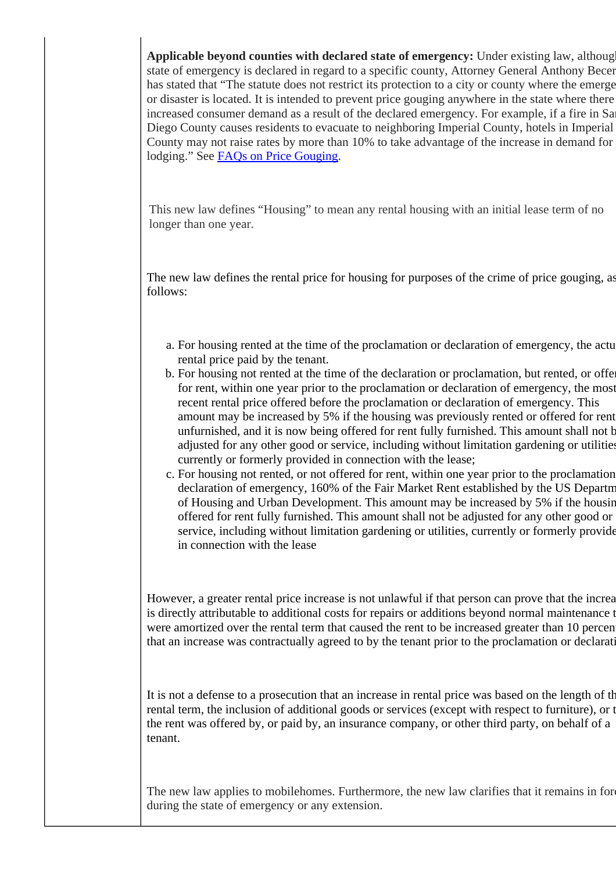Applicable beyond counties with declared state of emergency: Under existing law, although state of emergency is declared in regard to a specific county, Attorney General Anthony Becer has stated that "The statute does not restrict its protection to a city or county where the emerge or disaster is located. It is intended to prevent price gouging anywhere in the state where there increased consumer demand as a result of the declared emergency. For example, if a fire in Sa Diego County causes residents to evacuate to neighboring Imperial County, hotels in Imperial County may not raise rates by more than 10% to take advantage of the increase in demand for lodging." See [FAQs on Price Gouging](https://oag.ca.gov/consumers/pricegougingduringdisasters#5C).

This new law defines "Housing" to mean any rental housing with an initial lease term of no longer than one year.

The new law defines the rental price for housing for purposes of the crime of price gouging, as follows:

- a. For housing rented at the time of the proclamation or declaration of emergency, the actu rental price paid by the tenant.
- b. For housing not rented at the time of the declaration or proclamation, but rented, or offer for rent, within one year prior to the proclamation or declaration of emergency, the most recent rental price offered before the proclamation or declaration of emergency. This amount may be increased by 5% if the housing was previously rented or offered for rent unfurnished, and it is now being offered for rent fully furnished. This amount shall not be adjusted for any other good or service, including without limitation gardening or utilities, currently or formerly provided in connection with the lease;
- c. For housing not rented, or not offered for rent, within one year prior to the proclamation declaration of emergency, 160% of the Fair Market Rent established by the US Departm of Housing and Urban Development. This amount may be increased by 5% if the housing offered for rent fully furnished. This amount shall not be adjusted for any other good or service, including without limitation gardening or utilities, currently or formerly provide in connection with the lease

However, a greater rental price increase is not unlawful if that person can prove that the increa is directly attributable to additional costs for repairs or additions beyond normal maintenance t were amortized over the rental term that caused the rent to be increased greater than 10 percent that an increase was contractually agreed to by the tenant prior to the proclamation or declaration.

It is not a defense to a prosecution that an increase in rental price was based on the length of the rental term, the inclusion of additional goods or services (except with respect to furniture), or t the rent was offered by, or paid by, an insurance company, or other third party, on behalf of a tenant.

The new law applies to mobilehomes. Furthermore, the new law clarifies that it remains in fore during the state of emergency or any extension.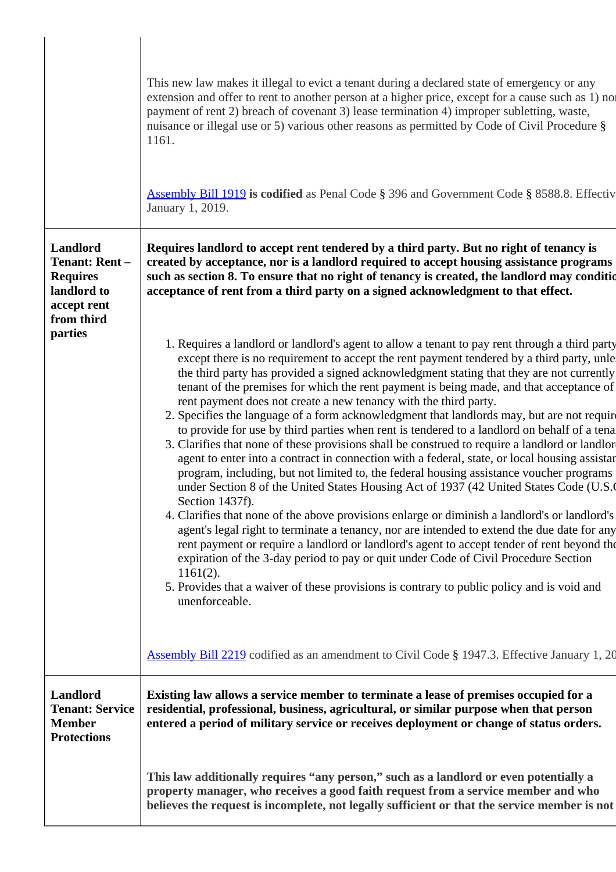|                                                                                                 | This new law makes it illegal to evict a tenant during a declared state of emergency or any<br>extension and offer to rent to another person at a higher price, except for a cause such as 1) nor<br>payment of rent 2) breach of covenant 3) lease termination 4) improper subletting, waste,<br>nuisance or illegal use or 5) various other reasons as permitted by Code of Civil Procedure §<br>1161.<br><b>Assembly Bill 1919 is codified</b> as Penal Code § 396 and Government Code § 8588.8. Effectiv<br>January 1, 2019.                                                                                                                                                                                                                                                                                                                                                                                                                                                                                                                                                                                                                                                                                                                                                                                                                                                                                                                                                                                                                                                   |
|-------------------------------------------------------------------------------------------------|------------------------------------------------------------------------------------------------------------------------------------------------------------------------------------------------------------------------------------------------------------------------------------------------------------------------------------------------------------------------------------------------------------------------------------------------------------------------------------------------------------------------------------------------------------------------------------------------------------------------------------------------------------------------------------------------------------------------------------------------------------------------------------------------------------------------------------------------------------------------------------------------------------------------------------------------------------------------------------------------------------------------------------------------------------------------------------------------------------------------------------------------------------------------------------------------------------------------------------------------------------------------------------------------------------------------------------------------------------------------------------------------------------------------------------------------------------------------------------------------------------------------------------------------------------------------------------|
| Landlord<br><b>Tenant: Rent-</b><br><b>Requires</b><br>landlord to<br>accept rent<br>from third | Requires landlord to accept rent tendered by a third party. But no right of tenancy is<br>created by acceptance, nor is a landlord required to accept housing assistance programs<br>such as section 8. To ensure that no right of tenancy is created, the landlord may condition<br>acceptance of rent from a third party on a signed acknowledgment to that effect.                                                                                                                                                                                                                                                                                                                                                                                                                                                                                                                                                                                                                                                                                                                                                                                                                                                                                                                                                                                                                                                                                                                                                                                                              |
| parties                                                                                         | 1. Requires a landlord or landlord's agent to allow a tenant to pay rent through a third party<br>except there is no requirement to accept the rent payment tendered by a third party, unle<br>the third party has provided a signed acknowledgment stating that they are not currently<br>tenant of the premises for which the rent payment is being made, and that acceptance of<br>rent payment does not create a new tenancy with the third party.<br>2. Specifies the language of a form acknowledgment that landlords may, but are not require<br>to provide for use by third parties when rent is tendered to a landlord on behalf of a tena<br>3. Clarifies that none of these provisions shall be construed to require a landlord or landlor<br>agent to enter into a contract in connection with a federal, state, or local housing assistant<br>program, including, but not limited to, the federal housing assistance voucher programs<br>under Section 8 of the United States Housing Act of 1937 (42 United States Code (U.S.<br>Section 1437f).<br>4. Clarifies that none of the above provisions enlarge or diminish a landlord's or landlord's<br>agent's legal right to terminate a tenancy, nor are intended to extend the due date for any<br>rent payment or require a landlord or landlord's agent to accept tender of rent beyond the<br>expiration of the 3-day period to pay or quit under Code of Civil Procedure Section<br>$1161(2)$ .<br>5. Provides that a waiver of these provisions is contrary to public policy and is void and<br>unenforceable. |
|                                                                                                 | <b>Assembly Bill 2219</b> codified as an amendment to Civil Code § 1947.3. Effective January 1, 20                                                                                                                                                                                                                                                                                                                                                                                                                                                                                                                                                                                                                                                                                                                                                                                                                                                                                                                                                                                                                                                                                                                                                                                                                                                                                                                                                                                                                                                                                 |
| Landlord<br><b>Tenant: Service</b><br><b>Member</b><br><b>Protections</b>                       | Existing law allows a service member to terminate a lease of premises occupied for a<br>residential, professional, business, agricultural, or similar purpose when that person<br>entered a period of military service or receives deployment or change of status orders.                                                                                                                                                                                                                                                                                                                                                                                                                                                                                                                                                                                                                                                                                                                                                                                                                                                                                                                                                                                                                                                                                                                                                                                                                                                                                                          |
|                                                                                                 | This law additionally requires "any person," such as a landlord or even potentially a<br>property manager, who receives a good faith request from a service member and who<br>believes the request is incomplete, not legally sufficient or that the service member is not                                                                                                                                                                                                                                                                                                                                                                                                                                                                                                                                                                                                                                                                                                                                                                                                                                                                                                                                                                                                                                                                                                                                                                                                                                                                                                         |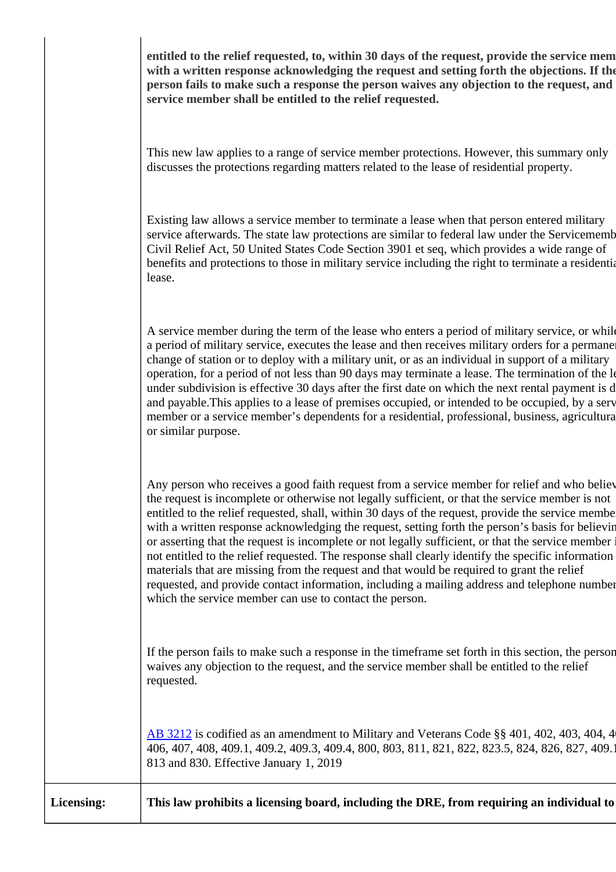entitled to the relief requested, to, within 30 days of the request, provide the service mem **with a written response acknowledging the request and setting forth the objections. If the person fails to make such a response the person waives any objection to the request, and service member shall be entitled to the relief requested.**

This new law applies to a range of service member protections. However, this summary only discusses the protections regarding matters related to the lease of residential property.

Existing law allows a service member to terminate a lease when that person entered military service afterwards. The state law protections are similar to federal law under the Servicememb Civil Relief Act, 50 United States Code Section 3901 et seq, which provides a wide range of benefits and protections to those in military service including the right to terminate a residential lease.

A service member during the term of the lease who enters a period of military service, or while a period of military service, executes the lease and then receives military orders for a permane change of station or to deploy with a military unit, or as an individual in support of a military operation, for a period of not less than 90 days may terminate a lease. The termination of the lease under subdivision is effective 30 days after the first date on which the next rental payment is d and payable. This applies to a lease of premises occupied, or intended to be occupied, by a service member or a service member's dependents for a residential, professional, business, agricultural, or similar purpose.

Any person who receives a good faith request from a service member for relief and who believe the request is incomplete or otherwise not legally sufficient, or that the service member is not entitled to the relief requested, shall, within 30 days of the request, provide the service member with a written response acknowledging the request, setting forth the person's basis for believing or asserting that the request is incomplete or not legally sufficient, or that the service member is not entitled to the relief requested. The response shall clearly identify the specific information materials that are missing from the request and that would be required to grant the relief requested, and provide contact information, including a mailing address and telephone number, which the service member can use to contact the person.

If the person fails to make such a response in the timeframe set forth in this section, the person waives any objection to the request, and the service member shall be entitled to the relief requested.

[AB 3212](https://leginfo.legislature.ca.gov/faces/billTextClient.xhtml?bill_id=201720180AB3212) is codified as an amendment to Military and Veterans Code §§ 401, 402, 403, 404, 4 406, 407, 408, 409.1, 409.2, 409.3, 409.4, 800, 803, 811, 821, 822, 823.5, 824, 826, 827, 409.1 813 and 830. Effective January 1, 2019

**Licensing: This law prohibits a licensing board, including the DRE, from requiring an individual to**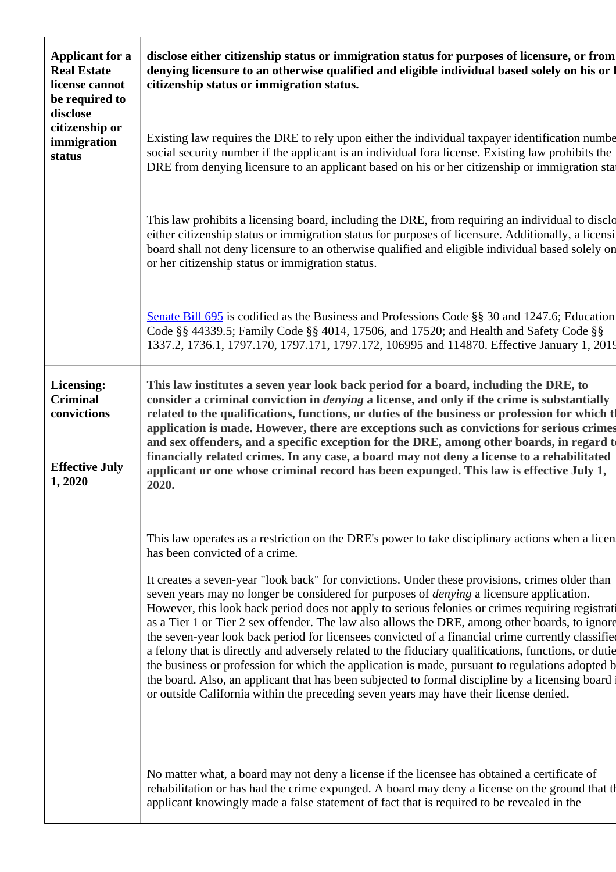| <b>Applicant for a</b><br><b>Real Estate</b><br>license cannot<br>be required to<br>disclose<br>citizenship or<br>immigration<br>status | disclose either citizenship status or immigration status for purposes of licensure, or from<br>denying licensure to an otherwise qualified and eligible individual based solely on his or l<br>citizenship status or immigration status.                                                                                                                                                                                                                                                                                                                                                                                                                                                                                                                                                                                                                                                                                                                                                                                                                 |
|-----------------------------------------------------------------------------------------------------------------------------------------|----------------------------------------------------------------------------------------------------------------------------------------------------------------------------------------------------------------------------------------------------------------------------------------------------------------------------------------------------------------------------------------------------------------------------------------------------------------------------------------------------------------------------------------------------------------------------------------------------------------------------------------------------------------------------------------------------------------------------------------------------------------------------------------------------------------------------------------------------------------------------------------------------------------------------------------------------------------------------------------------------------------------------------------------------------|
|                                                                                                                                         | Existing law requires the DRE to rely upon either the individual taxpayer identification numbe<br>social security number if the applicant is an individual fora license. Existing law prohibits the<br>DRE from denying licensure to an applicant based on his or her citizenship or immigration star                                                                                                                                                                                                                                                                                                                                                                                                                                                                                                                                                                                                                                                                                                                                                    |
|                                                                                                                                         | This law prohibits a licensing board, including the DRE, from requiring an individual to disclo<br>either citizenship status or immigration status for purposes of licensure. Additionally, a licensi<br>board shall not deny licensure to an otherwise qualified and eligible individual based solely on<br>or her citizenship status or immigration status.                                                                                                                                                                                                                                                                                                                                                                                                                                                                                                                                                                                                                                                                                            |
|                                                                                                                                         | Senate Bill 695 is codified as the Business and Professions Code $\S$ § 30 and 1247.6; Education<br>Code §§ 44339.5; Family Code §§ 4014, 17506, and 17520; and Health and Safety Code §§<br>1337.2, 1736.1, 1797.170, 1797.171, 1797.172, 106995 and 114870. Effective January 1, 2019                                                                                                                                                                                                                                                                                                                                                                                                                                                                                                                                                                                                                                                                                                                                                                  |
| Licensing:<br><b>Criminal</b><br>convictions<br><b>Effective July</b><br>1,2020                                                         | This law institutes a seven year look back period for a board, including the DRE, to<br>consider a criminal conviction in <i>denying</i> a license, and only if the crime is substantially<br>related to the qualifications, functions, or duties of the business or profession for which tl<br>application is made. However, there are exceptions such as convictions for serious crimes<br>and sex offenders, and a specific exception for the DRE, among other boards, in regard to<br>financially related crimes. In any case, a board may not deny a license to a rehabilitated<br>applicant or one whose criminal record has been expunged. This law is effective July 1,<br>2020.                                                                                                                                                                                                                                                                                                                                                                 |
|                                                                                                                                         | This law operates as a restriction on the DRE's power to take disciplinary actions when a licen<br>has been convicted of a crime.<br>It creates a seven-year "look back" for convictions. Under these provisions, crimes older than<br>seven years may no longer be considered for purposes of <i>denying</i> a licensure application.<br>However, this look back period does not apply to serious felonies or crimes requiring registrati<br>as a Tier 1 or Tier 2 sex offender. The law also allows the DRE, among other boards, to ignore<br>the seven-year look back period for licensees convicted of a financial crime currently classified<br>a felony that is directly and adversely related to the fiduciary qualifications, functions, or dutie<br>the business or profession for which the application is made, pursuant to regulations adopted b<br>the board. Also, an applicant that has been subjected to formal discipline by a licensing board<br>or outside California within the preceding seven years may have their license denied. |
|                                                                                                                                         | No matter what, a board may not deny a license if the licensee has obtained a certificate of<br>rehabilitation or has had the crime expunged. A board may deny a license on the ground that the<br>applicant knowingly made a false statement of fact that is required to be revealed in the                                                                                                                                                                                                                                                                                                                                                                                                                                                                                                                                                                                                                                                                                                                                                             |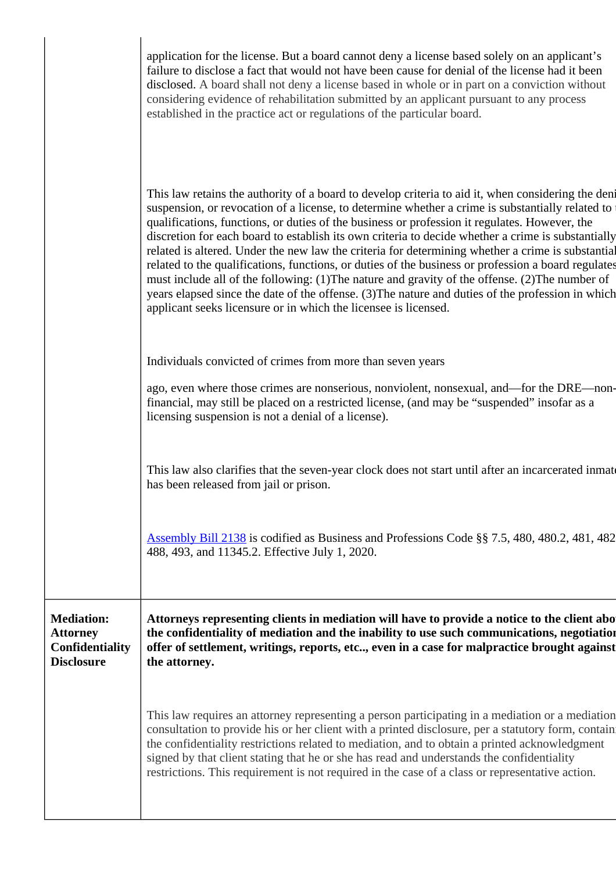|                                                                              | application for the license. But a board cannot deny a license based solely on an applicant's<br>failure to disclose a fact that would not have been cause for denial of the license had it been<br>disclosed. A board shall not deny a license based in whole or in part on a conviction without<br>considering evidence of rehabilitation submitted by an applicant pursuant to any process<br>established in the practice act or regulations of the particular board.                                                                                                                                                                                                                                                                                                                                                                                                                             |
|------------------------------------------------------------------------------|------------------------------------------------------------------------------------------------------------------------------------------------------------------------------------------------------------------------------------------------------------------------------------------------------------------------------------------------------------------------------------------------------------------------------------------------------------------------------------------------------------------------------------------------------------------------------------------------------------------------------------------------------------------------------------------------------------------------------------------------------------------------------------------------------------------------------------------------------------------------------------------------------|
|                                                                              | This law retains the authority of a board to develop criteria to aid it, when considering the deni<br>suspension, or revocation of a license, to determine whether a crime is substantially related to<br>qualifications, functions, or duties of the business or profession it regulates. However, the<br>discretion for each board to establish its own criteria to decide whether a crime is substantially<br>related is altered. Under the new law the criteria for determining whether a crime is substantial<br>related to the qualifications, functions, or duties of the business or profession a board regulates<br>must include all of the following: (1) The nature and gravity of the offense. (2) The number of<br>years elapsed since the date of the offense. (3) The nature and duties of the profession in which<br>applicant seeks licensure or in which the licensee is licensed. |
|                                                                              | Individuals convicted of crimes from more than seven years                                                                                                                                                                                                                                                                                                                                                                                                                                                                                                                                                                                                                                                                                                                                                                                                                                           |
|                                                                              | ago, even where those crimes are nonserious, nonviolent, nonsexual, and—for the DRE—non-<br>financial, may still be placed on a restricted license, (and may be "suspended" insofar as a<br>licensing suspension is not a denial of a license).                                                                                                                                                                                                                                                                                                                                                                                                                                                                                                                                                                                                                                                      |
|                                                                              | This law also clarifies that the seven-year clock does not start until after an incarcerated inmate<br>has been released from jail or prison.                                                                                                                                                                                                                                                                                                                                                                                                                                                                                                                                                                                                                                                                                                                                                        |
|                                                                              | <b>Assembly Bill 2138</b> is codified as Business and Professions Code §§ 7.5, 480, 480.2, 481, 482<br>488, 493, and 11345.2. Effective July 1, 2020.                                                                                                                                                                                                                                                                                                                                                                                                                                                                                                                                                                                                                                                                                                                                                |
| <b>Mediation:</b><br><b>Attorney</b><br>Confidentiality<br><b>Disclosure</b> | Attorneys representing clients in mediation will have to provide a notice to the client abo<br>the confidentiality of mediation and the inability to use such communications, negotiation<br>offer of settlement, writings, reports, etc, even in a case for malpractice brought against<br>the attorney.                                                                                                                                                                                                                                                                                                                                                                                                                                                                                                                                                                                            |
|                                                                              | This law requires an attorney representing a person participating in a mediation or a mediation<br>consultation to provide his or her client with a printed disclosure, per a statutory form, contain<br>the confidentiality restrictions related to mediation, and to obtain a printed acknowledgment<br>signed by that client stating that he or she has read and understands the confidentiality<br>restrictions. This requirement is not required in the case of a class or representative action.                                                                                                                                                                                                                                                                                                                                                                                               |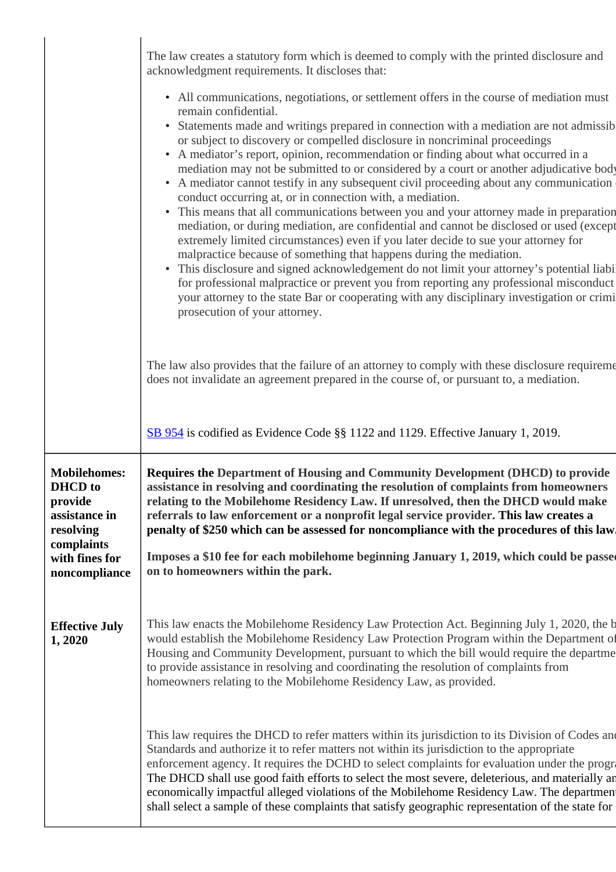|                                                                                                                                 | The law creates a statutory form which is deemed to comply with the printed disclosure and<br>acknowledgment requirements. It discloses that:<br>• All communications, negotiations, or settlement offers in the course of mediation must<br>remain confidential.<br>Statements made and writings prepared in connection with a mediation are not admissib<br>$\bullet$<br>or subject to discovery or compelled disclosure in noncriminal proceedings<br>• A mediator's report, opinion, recommendation or finding about what occurred in a<br>mediation may not be submitted to or considered by a court or another adjudicative body<br>• A mediator cannot testify in any subsequent civil proceeding about any communication<br>conduct occurring at, or in connection with, a mediation.<br>• This means that all communications between you and your attorney made in preparation<br>mediation, or during mediation, are confidential and cannot be disclosed or used (except<br>extremely limited circumstances) even if you later decide to sue your attorney for<br>malpractice because of something that happens during the mediation.<br>• This disclosure and signed acknowledgement do not limit your attorney's potential liabil<br>for professional malpractice or prevent you from reporting any professional misconduct<br>your attorney to the state Bar or cooperating with any disciplinary investigation or crimi<br>prosecution of your attorney. |
|---------------------------------------------------------------------------------------------------------------------------------|-------------------------------------------------------------------------------------------------------------------------------------------------------------------------------------------------------------------------------------------------------------------------------------------------------------------------------------------------------------------------------------------------------------------------------------------------------------------------------------------------------------------------------------------------------------------------------------------------------------------------------------------------------------------------------------------------------------------------------------------------------------------------------------------------------------------------------------------------------------------------------------------------------------------------------------------------------------------------------------------------------------------------------------------------------------------------------------------------------------------------------------------------------------------------------------------------------------------------------------------------------------------------------------------------------------------------------------------------------------------------------------------------------------------------------------------------------------------------|
|                                                                                                                                 | The law also provides that the failure of an attorney to comply with these disclosure requirement<br>does not invalidate an agreement prepared in the course of, or pursuant to, a mediation.                                                                                                                                                                                                                                                                                                                                                                                                                                                                                                                                                                                                                                                                                                                                                                                                                                                                                                                                                                                                                                                                                                                                                                                                                                                                           |
|                                                                                                                                 | SB 954 is codified as Evidence Code §§ 1122 and 1129. Effective January 1, 2019.                                                                                                                                                                                                                                                                                                                                                                                                                                                                                                                                                                                                                                                                                                                                                                                                                                                                                                                                                                                                                                                                                                                                                                                                                                                                                                                                                                                        |
| <b>Mobilehomes:</b><br><b>DHCD</b> to<br>provide<br>assistance in<br>resolving<br>complaints<br>with fines for<br>noncompliance | Requires the Department of Housing and Community Development (DHCD) to provide<br>assistance in resolving and coordinating the resolution of complaints from homeowners<br>relating to the Mobilehome Residency Law. If unresolved, then the DHCD would make<br>referrals to law enforcement or a nonprofit legal service provider. This law creates a<br>penalty of \$250 which can be assessed for noncompliance with the procedures of this law.<br>Imposes a \$10 fee for each mobilehome beginning January 1, 2019, which could be passe<br>on to homeowners within the park.                                                                                                                                                                                                                                                                                                                                                                                                                                                                                                                                                                                                                                                                                                                                                                                                                                                                                      |
| <b>Effective July</b><br>1,2020                                                                                                 | This law enacts the Mobilehome Residency Law Protection Act. Beginning July 1, 2020, the b<br>would establish the Mobilehome Residency Law Protection Program within the Department of<br>Housing and Community Development, pursuant to which the bill would require the departme<br>to provide assistance in resolving and coordinating the resolution of complaints from<br>homeowners relating to the Mobilehome Residency Law, as provided.                                                                                                                                                                                                                                                                                                                                                                                                                                                                                                                                                                                                                                                                                                                                                                                                                                                                                                                                                                                                                        |
|                                                                                                                                 | This law requires the DHCD to refer matters within its jurisdiction to its Division of Codes and<br>Standards and authorize it to refer matters not within its jurisdiction to the appropriate<br>enforcement agency. It requires the DCHD to select complaints for evaluation under the progra<br>The DHCD shall use good faith efforts to select the most severe, deleterious, and materially an<br>economically impactful alleged violations of the Mobilehome Residency Law. The department<br>shall select a sample of these complaints that satisfy geographic representation of the state for                                                                                                                                                                                                                                                                                                                                                                                                                                                                                                                                                                                                                                                                                                                                                                                                                                                                    |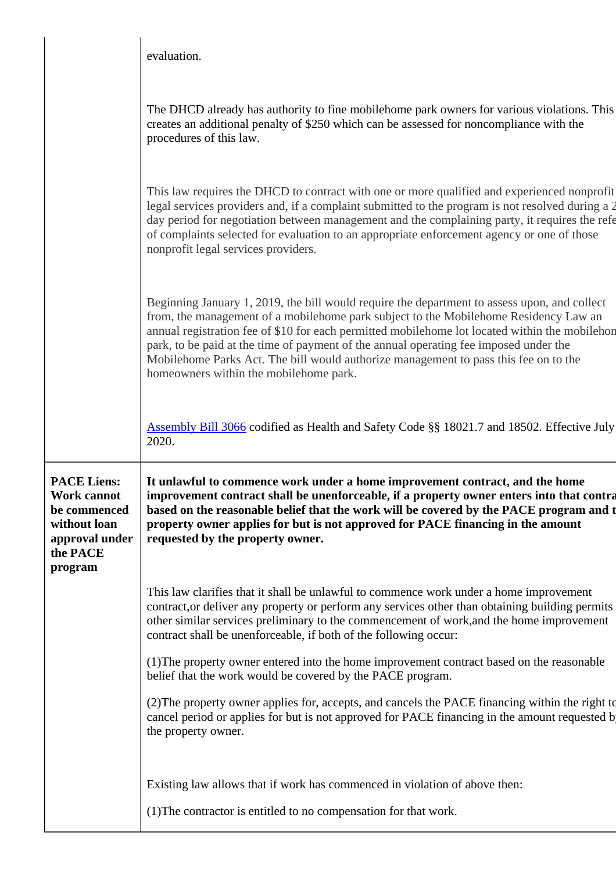|                                                                                                                   | evaluation.                                                                                                                                                                                                                                                                                                                                                                                                                                                                                                       |
|-------------------------------------------------------------------------------------------------------------------|-------------------------------------------------------------------------------------------------------------------------------------------------------------------------------------------------------------------------------------------------------------------------------------------------------------------------------------------------------------------------------------------------------------------------------------------------------------------------------------------------------------------|
|                                                                                                                   | The DHCD already has authority to fine mobile home park owners for various violations. This<br>creates an additional penalty of \$250 which can be assessed for noncompliance with the<br>procedures of this law.                                                                                                                                                                                                                                                                                                 |
|                                                                                                                   | This law requires the DHCD to contract with one or more qualified and experienced nonprofit<br>legal services providers and, if a complaint submitted to the program is not resolved during a 2<br>day period for negotiation between management and the complaining party, it requires the refe<br>of complaints selected for evaluation to an appropriate enforcement agency or one of those<br>nonprofit legal services providers.                                                                             |
|                                                                                                                   | Beginning January 1, 2019, the bill would require the department to assess upon, and collect<br>from, the management of a mobilehome park subject to the Mobilehome Residency Law an<br>annual registration fee of \$10 for each permitted mobilehome lot located within the mobilehon<br>park, to be paid at the time of payment of the annual operating fee imposed under the<br>Mobilehome Parks Act. The bill would authorize management to pass this fee on to the<br>homeowners within the mobilehome park. |
|                                                                                                                   | Assembly Bill 3066 codified as Health and Safety Code §§ 18021.7 and 18502. Effective July                                                                                                                                                                                                                                                                                                                                                                                                                        |
|                                                                                                                   | 2020.                                                                                                                                                                                                                                                                                                                                                                                                                                                                                                             |
| <b>PACE Liens:</b><br><b>Work cannot</b><br>be commenced<br>without loan<br>approval under<br>the PACE<br>program | It unlawful to commence work under a home improvement contract, and the home<br>improvement contract shall be unenforceable, if a property owner enters into that contra<br>based on the reasonable belief that the work will be covered by the PACE program and t<br>property owner applies for but is not approved for PACE financing in the amount<br>requested by the property owner.                                                                                                                         |
|                                                                                                                   | This law clarifies that it shall be unlawful to commence work under a home improvement<br>contract, or deliver any property or perform any services other than obtaining building permits<br>other similar services preliminary to the commencement of work, and the home improvement<br>contract shall be unenforceable, if both of the following occur:                                                                                                                                                         |
|                                                                                                                   | (1) The property owner entered into the home improvement contract based on the reasonable<br>belief that the work would be covered by the PACE program.                                                                                                                                                                                                                                                                                                                                                           |
|                                                                                                                   | (2) The property owner applies for, accepts, and cancels the PACE financing within the right to<br>cancel period or applies for but is not approved for PACE financing in the amount requested b<br>the property owner.                                                                                                                                                                                                                                                                                           |
|                                                                                                                   | Existing law allows that if work has commenced in violation of above then:                                                                                                                                                                                                                                                                                                                                                                                                                                        |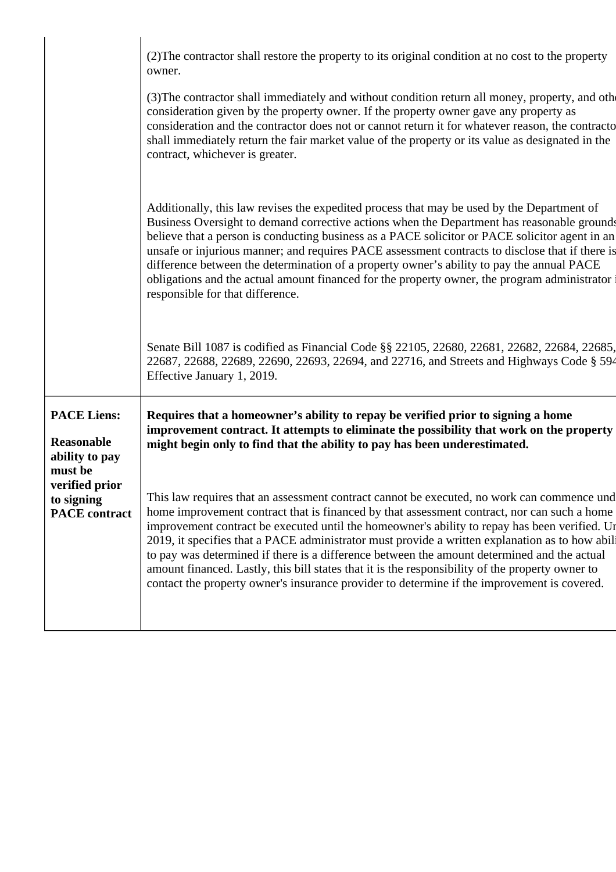|                                                                      | (2) The contractor shall restore the property to its original condition at no cost to the property<br>owner.<br>(3) The contractor shall immediately and without condition return all money, property, and other<br>consideration given by the property owner. If the property owner gave any property as<br>consideration and the contractor does not or cannot return it for whatever reason, the contracto<br>shall immediately return the fair market value of the property or its value as designated in the<br>contract, whichever is greater.                                                                                                                                            |
|----------------------------------------------------------------------|-------------------------------------------------------------------------------------------------------------------------------------------------------------------------------------------------------------------------------------------------------------------------------------------------------------------------------------------------------------------------------------------------------------------------------------------------------------------------------------------------------------------------------------------------------------------------------------------------------------------------------------------------------------------------------------------------|
|                                                                      | Additionally, this law revises the expedited process that may be used by the Department of<br>Business Oversight to demand corrective actions when the Department has reasonable grounds<br>believe that a person is conducting business as a PACE solicitor or PACE solicitor agent in an<br>unsafe or injurious manner; and requires PACE assessment contracts to disclose that if there is<br>difference between the determination of a property owner's ability to pay the annual PACE<br>obligations and the actual amount financed for the property owner, the program administrator<br>responsible for that difference.                                                                  |
|                                                                      | Senate Bill 1087 is codified as Financial Code §§ 22105, 22680, 22681, 22682, 22684, 22685,<br>22687, 22688, 22689, 22690, 22693, 22694, and 22716, and Streets and Highways Code § 594<br>Effective January 1, 2019.                                                                                                                                                                                                                                                                                                                                                                                                                                                                           |
| <b>PACE Liens:</b><br><b>Reasonable</b><br>ability to pay<br>must be | Requires that a homeowner's ability to repay be verified prior to signing a home<br>improvement contract. It attempts to eliminate the possibility that work on the property<br>might begin only to find that the ability to pay has been underestimated.                                                                                                                                                                                                                                                                                                                                                                                                                                       |
| verified prior<br>to signing<br><b>PACE</b> contract                 | This law requires that an assessment contract cannot be executed, no work can commence und<br>home improvement contract that is financed by that assessment contract, nor can such a home<br>improvement contract be executed until the homeowner's ability to repay has been verified. Ur<br>2019, it specifies that a PACE administrator must provide a written explanation as to how abili<br>to pay was determined if there is a difference between the amount determined and the actual<br>amount financed. Lastly, this bill states that it is the responsibility of the property owner to<br>contact the property owner's insurance provider to determine if the improvement is covered. |
|                                                                      |                                                                                                                                                                                                                                                                                                                                                                                                                                                                                                                                                                                                                                                                                                 |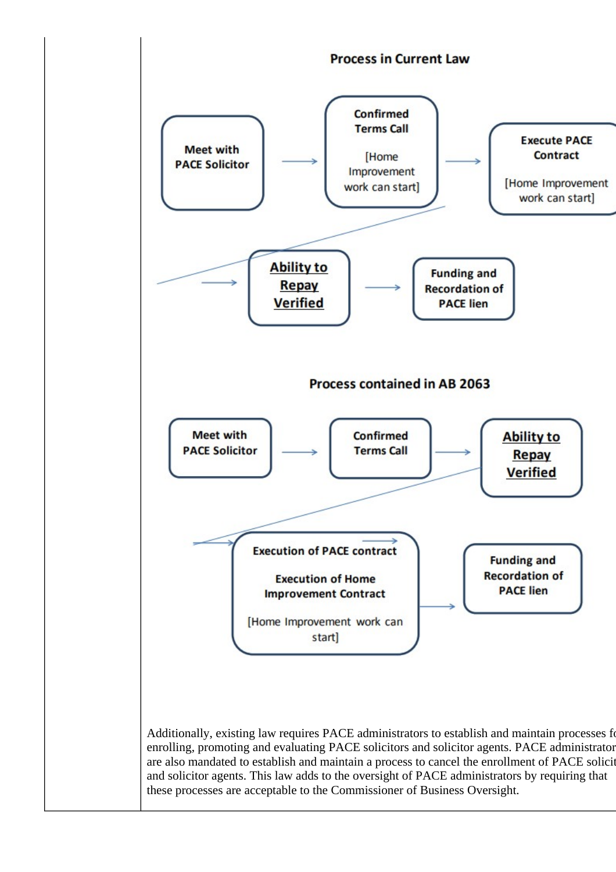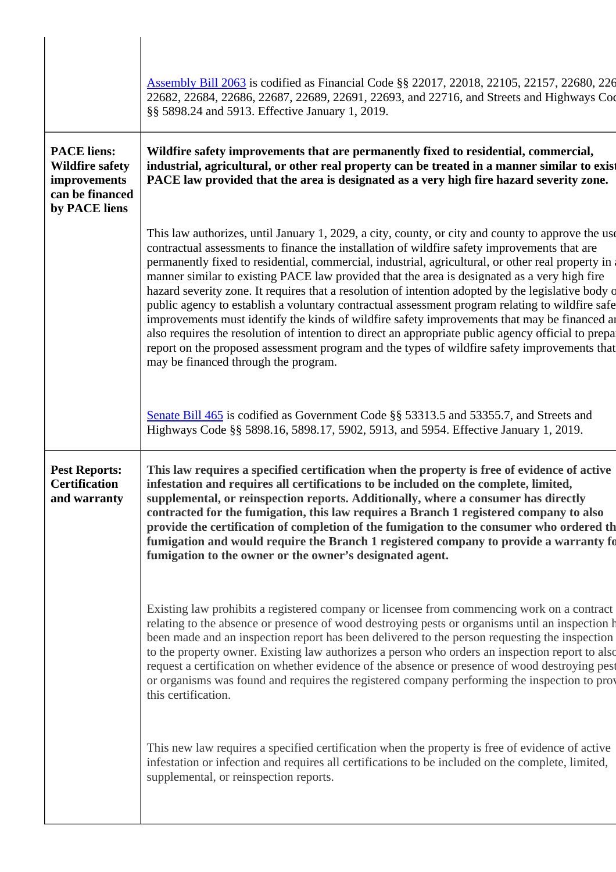|                                                                                                  | Assembly Bill 2063 is codified as Financial Code §§ 22017, 22018, 22105, 22157, 22680, 226<br>22682, 22684, 22686, 22687, 22689, 22691, 22693, and 22716, and Streets and Highways Coo<br>§§ 5898.24 and 5913. Effective January 1, 2019.                                                                                                                                                                                                                                                                                                                                                                                                                                                                                                                                                                                                                                                                                                                       |
|--------------------------------------------------------------------------------------------------|-----------------------------------------------------------------------------------------------------------------------------------------------------------------------------------------------------------------------------------------------------------------------------------------------------------------------------------------------------------------------------------------------------------------------------------------------------------------------------------------------------------------------------------------------------------------------------------------------------------------------------------------------------------------------------------------------------------------------------------------------------------------------------------------------------------------------------------------------------------------------------------------------------------------------------------------------------------------|
| <b>PACE</b> liens:<br><b>Wildfire safety</b><br>improvements<br>can be financed<br>by PACE liens | Wildfire safety improvements that are permanently fixed to residential, commercial,<br>industrial, agricultural, or other real property can be treated in a manner similar to exist<br>PACE law provided that the area is designated as a very high fire hazard severity zone.                                                                                                                                                                                                                                                                                                                                                                                                                                                                                                                                                                                                                                                                                  |
|                                                                                                  | This law authorizes, until January 1, 2029, a city, county, or city and county to approve the use<br>contractual assessments to finance the installation of wildfire safety improvements that are<br>permanently fixed to residential, commercial, industrial, agricultural, or other real property in<br>manner similar to existing PACE law provided that the area is designated as a very high fire<br>hazard severity zone. It requires that a resolution of intention adopted by the legislative body of<br>public agency to establish a voluntary contractual assessment program relating to wildfire safe<br>improvements must identify the kinds of wildfire safety improvements that may be financed an<br>also requires the resolution of intention to direct an appropriate public agency official to prepar<br>report on the proposed assessment program and the types of wildfire safety improvements that<br>may be financed through the program. |
|                                                                                                  | Senate Bill 465 is codified as Government Code §§ 53313.5 and 53355.7, and Streets and<br>Highways Code §§ 5898.16, 5898.17, 5902, 5913, and 5954. Effective January 1, 2019.                                                                                                                                                                                                                                                                                                                                                                                                                                                                                                                                                                                                                                                                                                                                                                                   |
| <b>Pest Reports:</b><br><b>Certification</b><br>and warranty                                     | This law requires a specified certification when the property is free of evidence of active<br>infestation and requires all certifications to be included on the complete, limited,<br>supplemental, or reinspection reports. Additionally, where a consumer has directly<br>contracted for the fumigation, this law requires a Branch 1 registered company to also<br>provide the certification of completion of the fumigation to the consumer who ordered the<br>fumigation and would require the Branch 1 registered company to provide a warranty fo<br>fumigation to the owner or the owner's designated agent.                                                                                                                                                                                                                                                                                                                                           |
|                                                                                                  | Existing law prohibits a registered company or licensee from commencing work on a contract<br>relating to the absence or presence of wood destroying pests or organisms until an inspection h<br>been made and an inspection report has been delivered to the person requesting the inspection<br>to the property owner. Existing law authorizes a person who orders an inspection report to also<br>request a certification on whether evidence of the absence or presence of wood destroying pest<br>or organisms was found and requires the registered company performing the inspection to prov<br>this certification.                                                                                                                                                                                                                                                                                                                                      |
|                                                                                                  | This new law requires a specified certification when the property is free of evidence of active<br>infestation or infection and requires all certifications to be included on the complete, limited,<br>supplemental, or reinspection reports.                                                                                                                                                                                                                                                                                                                                                                                                                                                                                                                                                                                                                                                                                                                  |

 $\overline{a}$ 

 $\overline{\phantom{a}}$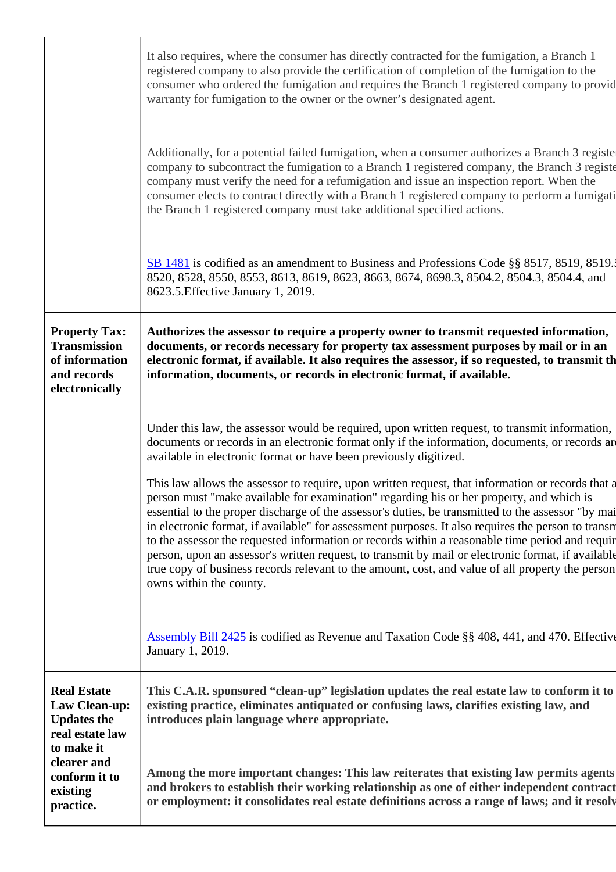|                                                                                                                                                            | It also requires, where the consumer has directly contracted for the fumigation, a Branch 1<br>registered company to also provide the certification of completion of the fumigation to the<br>consumer who ordered the fumigation and requires the Branch 1 registered company to provid<br>warranty for fumigation to the owner or the owner's designated agent.                                                                                                                                                                                                                                                                                                                                                                                 |
|------------------------------------------------------------------------------------------------------------------------------------------------------------|---------------------------------------------------------------------------------------------------------------------------------------------------------------------------------------------------------------------------------------------------------------------------------------------------------------------------------------------------------------------------------------------------------------------------------------------------------------------------------------------------------------------------------------------------------------------------------------------------------------------------------------------------------------------------------------------------------------------------------------------------|
|                                                                                                                                                            | Additionally, for a potential failed fumigation, when a consumer authorizes a Branch 3 register<br>company to subcontract the fumigation to a Branch 1 registered company, the Branch 3 registe<br>company must verify the need for a refumigation and issue an inspection report. When the<br>consumer elects to contract directly with a Branch 1 registered company to perform a fumigati<br>the Branch 1 registered company must take additional specified actions.                                                                                                                                                                                                                                                                           |
|                                                                                                                                                            | SB 1481 is codified as an amendment to Business and Professions Code §§ 8517, 8519, 8519.<br>8520, 8528, 8550, 8553, 8613, 8619, 8623, 8663, 8674, 8698.3, 8504.2, 8504.3, 8504.4, and<br>8623.5. Effective January 1, 2019.                                                                                                                                                                                                                                                                                                                                                                                                                                                                                                                      |
| <b>Property Tax:</b><br><b>Transmission</b><br>of information<br>and records<br>electronically                                                             | Authorizes the assessor to require a property owner to transmit requested information,<br>documents, or records necessary for property tax assessment purposes by mail or in an<br>electronic format, if available. It also requires the assessor, if so requested, to transmit th<br>information, documents, or records in electronic format, if available.                                                                                                                                                                                                                                                                                                                                                                                      |
|                                                                                                                                                            | Under this law, the assessor would be required, upon written request, to transmit information,<br>documents or records in an electronic format only if the information, documents, or records are<br>available in electronic format or have been previously digitized.                                                                                                                                                                                                                                                                                                                                                                                                                                                                            |
|                                                                                                                                                            | This law allows the assessor to require, upon written request, that information or records that a<br>person must "make available for examination" regarding his or her property, and which is<br>essential to the proper discharge of the assessor's duties, be transmitted to the assessor "by mai<br>in electronic format, if available" for assessment purposes. It also requires the person to transm<br>to the assessor the requested information or records within a reasonable time period and requir<br>person, upon an assessor's written request, to transmit by mail or electronic format, if available<br>true copy of business records relevant to the amount, cost, and value of all property the person<br>owns within the county. |
|                                                                                                                                                            | <b>Assembly Bill 2425</b> is codified as Revenue and Taxation Code §§ 408, 441, and 470. Effective<br>January 1, 2019.                                                                                                                                                                                                                                                                                                                                                                                                                                                                                                                                                                                                                            |
| <b>Real Estate</b><br><b>Law Clean-up:</b><br><b>Updates the</b><br>real estate law<br>to make it<br>clearer and<br>conform it to<br>existing<br>practice. | This C.A.R. sponsored "clean-up" legislation updates the real estate law to conform it to<br>existing practice, eliminates antiquated or confusing laws, clarifies existing law, and<br>introduces plain language where appropriate.                                                                                                                                                                                                                                                                                                                                                                                                                                                                                                              |
|                                                                                                                                                            | Among the more important changes: This law reiterates that existing law permits agents<br>and brokers to establish their working relationship as one of either independent contract<br>or employment: it consolidates real estate definitions across a range of laws; and it resolv                                                                                                                                                                                                                                                                                                                                                                                                                                                               |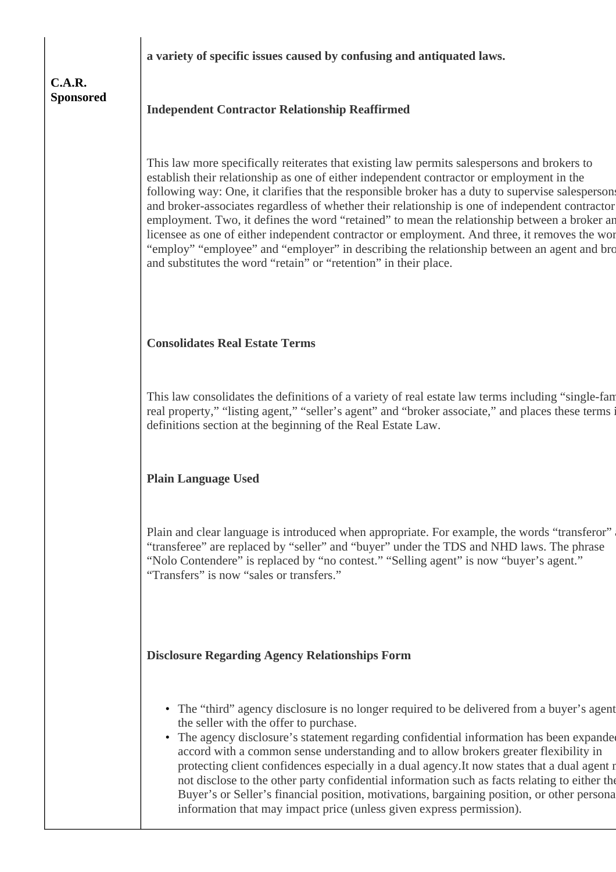**a variety of specific issues caused by confusing and antiquated laws.**

## **C.A.R. Sponsored**

**Independent Contractor Relationship Reaffirmed**

This law more specifically reiterates that existing law permits salespersons and brokers to establish their relationship as one of either independent contractor or employment in the following way: One, it clarifies that the responsible broker has a duty to supervise salespersons and broker-associates regardless of whether their relationship is one of independent contractor employment. Two, it defines the word "retained" to mean the relationship between a broker an licensee as one of either independent contractor or employment. And three, it removes the word "employ" "employee" and "employer" in describing the relationship between an agent and bro and substitutes the word "retain" or "retention" in their place.

# **Consolidates Real Estate Terms**

This law consolidates the definitions of a variety of real estate law terms including "single-family real property," "listing agent," "seller's agent" and "broker associate," and places these terms i definitions section at the beginning of the Real Estate Law.

# **Plain Language Used**

Plain and clear language is introduced when appropriate. For example, the words "transferor" "transferee" are replaced by "seller" and "buyer" under the TDS and NHD laws. The phrase "Nolo Contendere" is replaced by "no contest." "Selling agent" is now "buyer's agent." "Transfers" is now "sales or transfers."

# **Disclosure Regarding Agency Relationships Form**

- The "third" agency disclosure is no longer required to be delivered from a buyer's agent the seller with the offer to purchase.
- The agency disclosure's statement regarding confidential information has been expanded accord with a common sense understanding and to allow brokers greater flexibility in protecting client confidences especially in a dual agency.It now states that a dual agent r not disclose to the other party confidential information such as facts relating to either the Buyer's or Seller's financial position, motivations, bargaining position, or other personal information that may impact price (unless given express permission).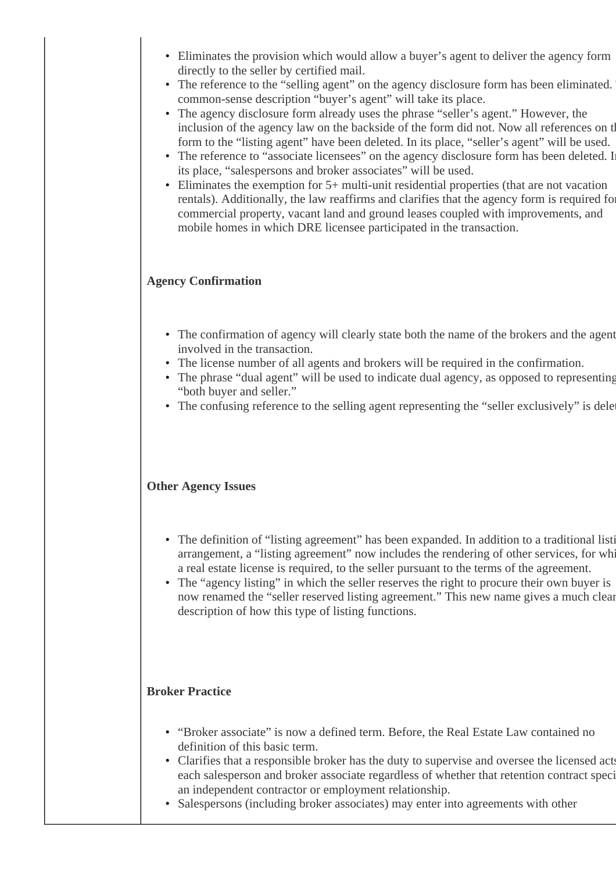- Eliminates the provision which would allow a buyer's agent to deliver the agency form directly to the seller by certified mail.
- The reference to the "selling agent" on the agency disclosure form has been eliminated. common-sense description "buyer's agent" will take its place.
- The agency disclosure form already uses the phrase "seller's agent." However, the inclusion of the agency law on the backside of the form did not. Now all references on the form to the "listing agent" have been deleted. In its place, "seller's agent" will be used.
- The reference to "associate licensees" on the agency disclosure form has been deleted. In its place, "salespersons and broker associates" will be used.
- Eliminates the exemption for 5+ multi-unit residential properties (that are not vacation rentals). Additionally, the law reaffirms and clarifies that the agency form is required for commercial property, vacant land and ground leases coupled with improvements, and mobile homes in which DRE licensee participated in the transaction. •

#### **Agency Confirmation**

- The confirmation of agency will clearly state both the name of the brokers and the agent involved in the transaction.
- The license number of all agents and brokers will be required in the confirmation.
- The phrase "dual agent" will be used to indicate dual agency, as opposed to representing "both buyer and seller."
- The confusing reference to the selling agent representing the "seller exclusively" is deleted.

#### **Other Agency Issues**

- The definition of "listing agreement" has been expanded. In addition to a traditional listi arrangement, a "listing agreement" now includes the rendering of other services, for whi a real estate license is required, to the seller pursuant to the terms of the agreement.
- The "agency listing" in which the seller reserves the right to procure their own buyer is now renamed the "seller reserved listing agreement." This new name gives a much clear description of how this type of listing functions.

#### **Broker Practice**

- "Broker associate" is now a defined term. Before, the Real Estate Law contained no definition of this basic term.
- Clarifies that a responsible broker has the duty to supervise and oversee the licensed acts each salesperson and broker associate regardless of whether that retention contract speci an independent contractor or employment relationship.
- Salespersons (including broker associates) may enter into agreements with other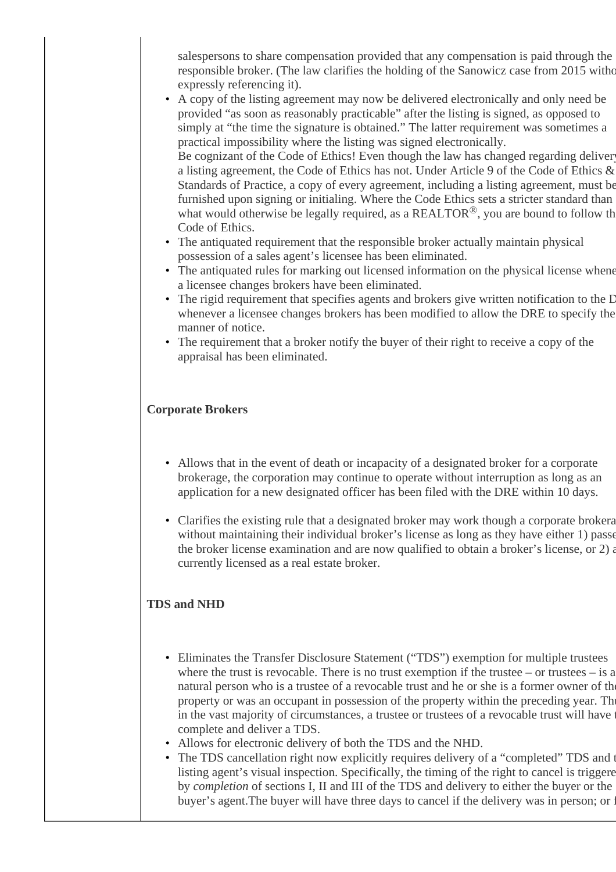salespersons to share compensation provided that any compensation is paid through the responsible broker. (The law clarifies the holding of the Sanowicz case from 2015 without expressly referencing it).

- A copy of the listing agreement may now be delivered electronically and only need be provided "as soon as reasonably practicable" after the listing is signed, as opposed to simply at "the time the signature is obtained." The latter requirement was sometimes a practical impossibility where the listing was signed electronically. Be cognizant of the Code of Ethics! Even though the law has changed regarding deliver a listing agreement, the Code of Ethics has not. Under Article 9 of the Code of Ethics & Standards of Practice, a copy of every agreement, including a listing agreement, must be furnished upon signing or initialing. Where the Code Ethics sets a stricter standard than what would otherwise be legally required, as a  $REALTOR^@$ , you are bound to follow the Code of Ethics.
- The antiquated requirement that the responsible broker actually maintain physical possession of a sales agent's licensee has been eliminated.
- The antiquated rules for marking out licensed information on the physical license whene a licensee changes brokers have been eliminated.
- The rigid requirement that specifies agents and brokers give written notification to the D whenever a licensee changes brokers has been modified to allow the DRE to specify the manner of notice.
- The requirement that a broker notify the buyer of their right to receive a copy of the appraisal has been eliminated.

### **Corporate Brokers**

- Allows that in the event of death or incapacity of a designated broker for a corporate brokerage, the corporation may continue to operate without interruption as long as an application for a new designated officer has been filed with the DRE within 10 days.
- Clarifies the existing rule that a designated broker may work though a corporate brokera without maintaining their individual broker's license as long as they have either 1) passe the broker license examination and are now qualified to obtain a broker's license, or  $2$ ) and currently licensed as a real estate broker.

### **TDS and NHD**

- Eliminates the Transfer Disclosure Statement ("TDS") exemption for multiple trustees where the trust is revocable. There is no trust exemption if the trustee – or trustees  $-$  is a natural person who is a trustee of a revocable trust and he or she is a former owner of the property or was an occupant in possession of the property within the preceding year. The in the vast majority of circumstances, a trustee or trustees of a revocable trust will have to complete and deliver a TDS.
- Allows for electronic delivery of both the TDS and the NHD.
- The TDS cancellation right now explicitly requires delivery of a "completed" TDS and t listing agent's visual inspection. Specifically, the timing of the right to cancel is triggered by *completion* of sections I, II and III of the TDS and delivery to either the buyer or the buyer's agent. The buyer will have three days to cancel if the delivery was in person; or f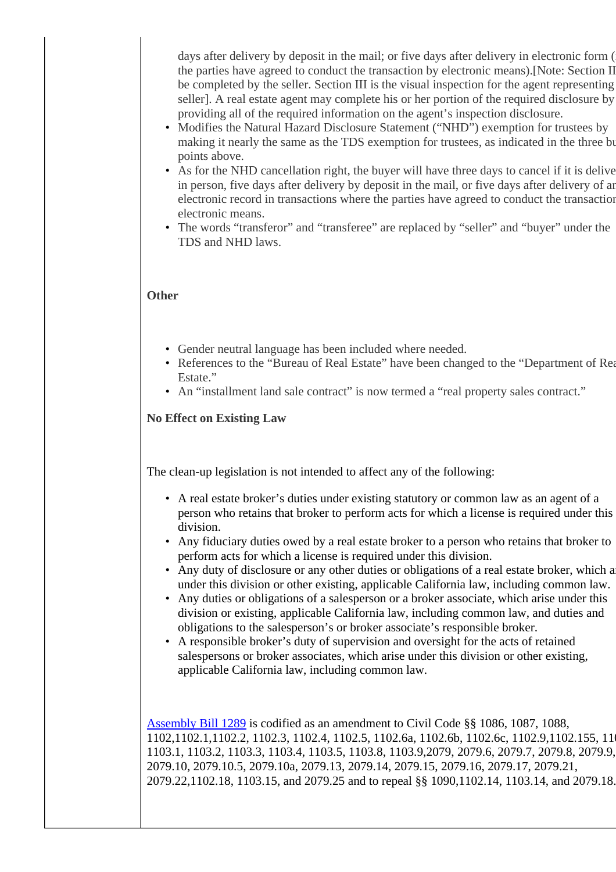days after delivery by deposit in the mail; or five days after delivery in electronic form ( the parties have agreed to conduct the transaction by electronic means).[Note: Section II be completed by the seller. Section III is the visual inspection for the agent representing seller]. A real estate agent may complete his or her portion of the required disclosure by providing all of the required information on the agent's inspection disclosure.

- Modifies the Natural Hazard Disclosure Statement ("NHD") exemption for trustees by making it nearly the same as the TDS exemption for trustees, as indicated in the three bullet points above.
- As for the NHD cancellation right, the buyer will have three days to cancel if it is delive in person, five days after delivery by deposit in the mail, or five days after delivery of an electronic record in transactions where the parties have agreed to conduct the transaction electronic means.
- The words "transferor" and "transferee" are replaced by "seller" and "buyer" under the TDS and NHD laws.

#### **Other**

- Gender neutral language has been included where needed.
- References to the "Bureau of Real Estate" have been changed to the "Department of Real Estate."
- An "installment land sale contract" is now termed a "real property sales contract."

#### **No Effect on Existing Law**

The clean-up legislation is not intended to affect any of the following:

- A real estate broker's duties under existing statutory or common law as an agent of a person who retains that broker to perform acts for which a license is required under this division.
- Any fiduciary duties owed by a real estate broker to a person who retains that broker to perform acts for which a license is required under this division.
- Any duty of disclosure or any other duties or obligations of a real estate broker, which arises under this division or other existing, applicable California law, including common law.
- Any duties or obligations of a salesperson or a broker associate, which arise under this division or existing, applicable California law, including common law, and duties and obligations to the salesperson's or broker associate's responsible broker.
- A responsible broker's duty of supervision and oversight for the acts of retained salespersons or broker associates, which arise under this division or other existing, applicable California law, including common law.

[Assembly Bill 1289](https://leginfo.legislature.ca.gov/faces/billTextClient.xhtml?bill_id=201720180AB1289) is codified as an amendment to Civil Code §§ 1086, 1087, 1088, 1102,1102.1,1102.2, 1102.3, 1102.4, 1102.5, 1102.6a, 1102.6b, 1102.6c, 1102.9,1102.155, 1103, 1103.1, 1103.2, 1103.3, 1103.4, 1103.5, 1103.8, 1103.9,2079, 2079.6, 2079.7, 2079.8, 2079.9, 2079.10, 2079.10.5, 2079.10a, 2079.13, 2079.14, 2079.15, 2079.16, 2079.17, 2079.21, 2079.22,1102.18, 1103.15, and 2079.25 and to repeal §§ 1090,1102.14, 1103.14, and 2079.18.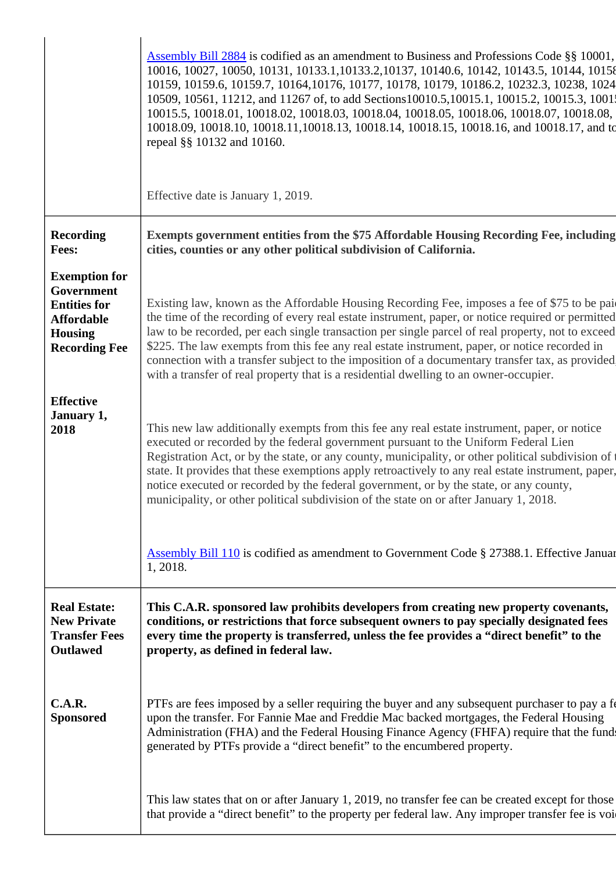|                                                                                                                          | <b>Assembly Bill 2884</b> is codified as an amendment to Business and Professions Code §§ 10001,<br>10016, 10027, 10050, 10131, 10133.1, 10133.2, 10137, 10140.6, 10142, 10143.5, 10144, 10158<br>10159, 10159.6, 10159.7, 10164, 10176, 10177, 10178, 10179, 10186.2, 10232.3, 10238, 1024<br>10509, 10561, 11212, and 11267 of, to add Sections 10010.5, 10015.1, 10015.2, 10015.3, 1001;<br>10015.5, 10018.01, 10018.02, 10018.03, 10018.04, 10018.05, 10018.06, 10018.07, 10018.08,<br>10018.09, 10018.10, 10018.11, 10018.13, 10018.14, 10018.15, 10018.16, and 10018.17, and to<br>repeal §§ 10132 and 10160. |
|--------------------------------------------------------------------------------------------------------------------------|---------------------------------------------------------------------------------------------------------------------------------------------------------------------------------------------------------------------------------------------------------------------------------------------------------------------------------------------------------------------------------------------------------------------------------------------------------------------------------------------------------------------------------------------------------------------------------------------------------------------|
|                                                                                                                          | Effective date is January 1, 2019.                                                                                                                                                                                                                                                                                                                                                                                                                                                                                                                                                                                  |
| <b>Recording</b><br><b>Fees:</b>                                                                                         | Exempts government entities from the \$75 Affordable Housing Recording Fee, including<br>cities, counties or any other political subdivision of California.                                                                                                                                                                                                                                                                                                                                                                                                                                                         |
| <b>Exemption for</b><br>Government<br><b>Entities for</b><br><b>Affordable</b><br><b>Housing</b><br><b>Recording Fee</b> | Existing law, known as the Affordable Housing Recording Fee, imposes a fee of \$75 to be paid<br>the time of the recording of every real estate instrument, paper, or notice required or permitted<br>law to be recorded, per each single transaction per single parcel of real property, not to exceed<br>\$225. The law exempts from this fee any real estate instrument, paper, or notice recorded in<br>connection with a transfer subject to the imposition of a documentary transfer tax, as provided<br>with a transfer of real property that is a residential dwelling to an owner-occupier.                |
| <b>Effective</b><br>January 1,<br>2018                                                                                   | This new law additionally exempts from this fee any real estate instrument, paper, or notice<br>executed or recorded by the federal government pursuant to the Uniform Federal Lien<br>Registration Act, or by the state, or any county, municipality, or other political subdivision of t<br>state. It provides that these exemptions apply retroactively to any real estate instrument, paper,<br>notice executed or recorded by the federal government, or by the state, or any county,<br>municipality, or other political subdivision of the state on or after January 1, 2018.                                |
|                                                                                                                          | <b>Assembly Bill 110</b> is codified as amendment to Government Code § 27388.1. Effective Januar<br>1, 2018.                                                                                                                                                                                                                                                                                                                                                                                                                                                                                                        |
| <b>Real Estate:</b><br><b>New Private</b><br><b>Transfer Fees</b><br><b>Outlawed</b>                                     | This C.A.R. sponsored law prohibits developers from creating new property covenants,<br>conditions, or restrictions that force subsequent owners to pay specially designated fees<br>every time the property is transferred, unless the fee provides a "direct benefit" to the<br>property, as defined in federal law.                                                                                                                                                                                                                                                                                              |
| C.A.R.<br><b>Sponsored</b>                                                                                               | PTFs are fees imposed by a seller requiring the buyer and any subsequent purchaser to pay a fe<br>upon the transfer. For Fannie Mae and Freddie Mac backed mortgages, the Federal Housing<br>Administration (FHA) and the Federal Housing Finance Agency (FHFA) require that the funds<br>generated by PTFs provide a "direct benefit" to the encumbered property.                                                                                                                                                                                                                                                  |
|                                                                                                                          | This law states that on or after January 1, 2019, no transfer fee can be created except for those<br>that provide a "direct benefit" to the property per federal law. Any improper transfer fee is voi                                                                                                                                                                                                                                                                                                                                                                                                              |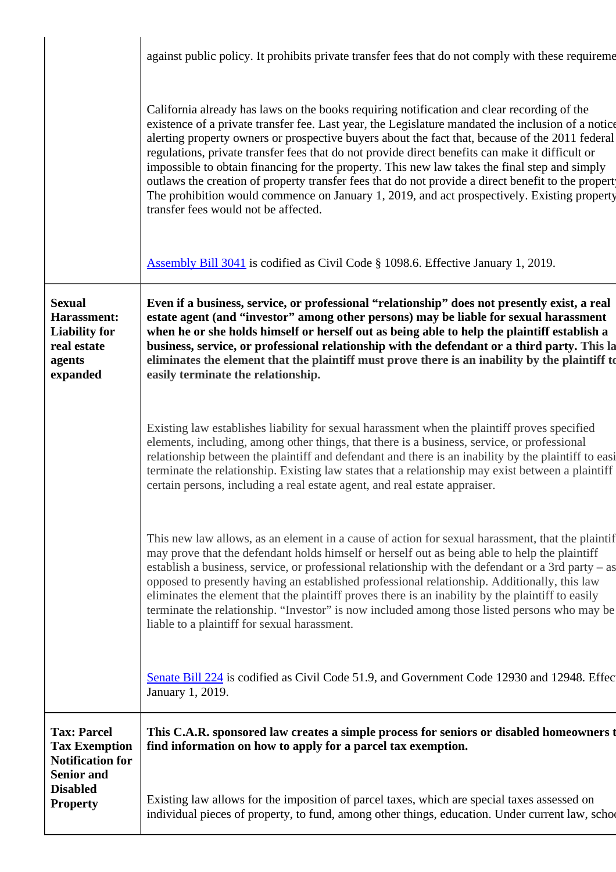|                                                                                                                                  | against public policy. It prohibits private transfer fees that do not comply with these requirement                                                                                                                                                                                                                                                                                                                                                                                                                                                                                                                                                                                                                                                  |
|----------------------------------------------------------------------------------------------------------------------------------|------------------------------------------------------------------------------------------------------------------------------------------------------------------------------------------------------------------------------------------------------------------------------------------------------------------------------------------------------------------------------------------------------------------------------------------------------------------------------------------------------------------------------------------------------------------------------------------------------------------------------------------------------------------------------------------------------------------------------------------------------|
|                                                                                                                                  | California already has laws on the books requiring notification and clear recording of the<br>existence of a private transfer fee. Last year, the Legislature mandated the inclusion of a notice<br>alerting property owners or prospective buyers about the fact that, because of the 2011 federal<br>regulations, private transfer fees that do not provide direct benefits can make it difficult or<br>impossible to obtain financing for the property. This new law takes the final step and simply<br>outlaws the creation of property transfer fees that do not provide a direct benefit to the propert<br>The prohibition would commence on January 1, 2019, and act prospectively. Existing property<br>transfer fees would not be affected. |
|                                                                                                                                  | Assembly Bill 3041 is codified as Civil Code § 1098.6. Effective January 1, 2019.                                                                                                                                                                                                                                                                                                                                                                                                                                                                                                                                                                                                                                                                    |
| <b>Sexual</b><br>Harassment:<br><b>Liability for</b><br>real estate<br>agents<br>expanded                                        | Even if a business, service, or professional "relationship" does not presently exist, a real<br>estate agent (and "investor" among other persons) may be liable for sexual harassment<br>when he or she holds himself or herself out as being able to help the plaintiff establish a<br>business, service, or professional relationship with the defendant or a third party. This la<br>eliminates the element that the plaintiff must prove there is an inability by the plaintiff to<br>easily terminate the relationship.                                                                                                                                                                                                                         |
|                                                                                                                                  | Existing law establishes liability for sexual harassment when the plaintiff proves specified<br>elements, including, among other things, that there is a business, service, or professional<br>relationship between the plaintiff and defendant and there is an inability by the plaintiff to easi<br>terminate the relationship. Existing law states that a relationship may exist between a plaintiff<br>certain persons, including a real estate agent, and real estate appraiser.                                                                                                                                                                                                                                                                |
|                                                                                                                                  | This new law allows, as an element in a cause of action for sexual harassment, that the plaintif<br>may prove that the defendant holds himself or herself out as being able to help the plaintiff<br>establish a business, service, or professional relationship with the defendant or a 3rd party – as<br>opposed to presently having an established professional relationship. Additionally, this law<br>eliminates the element that the plaintiff proves there is an inability by the plaintiff to easily<br>terminate the relationship. "Investor" is now included among those listed persons who may be<br>liable to a plaintiff for sexual harassment.                                                                                         |
|                                                                                                                                  | Senate Bill 224 is codified as Civil Code 51.9, and Government Code 12930 and 12948. Effec<br>January 1, 2019.                                                                                                                                                                                                                                                                                                                                                                                                                                                                                                                                                                                                                                       |
| <b>Tax: Parcel</b><br><b>Tax Exemption</b><br><b>Notification for</b><br><b>Senior and</b><br><b>Disabled</b><br><b>Property</b> | This C.A.R. sponsored law creates a simple process for seniors or disabled homeowners t<br>find information on how to apply for a parcel tax exemption.                                                                                                                                                                                                                                                                                                                                                                                                                                                                                                                                                                                              |
|                                                                                                                                  | Existing law allows for the imposition of parcel taxes, which are special taxes assessed on<br>individual pieces of property, to fund, among other things, education. Under current law, schoo                                                                                                                                                                                                                                                                                                                                                                                                                                                                                                                                                       |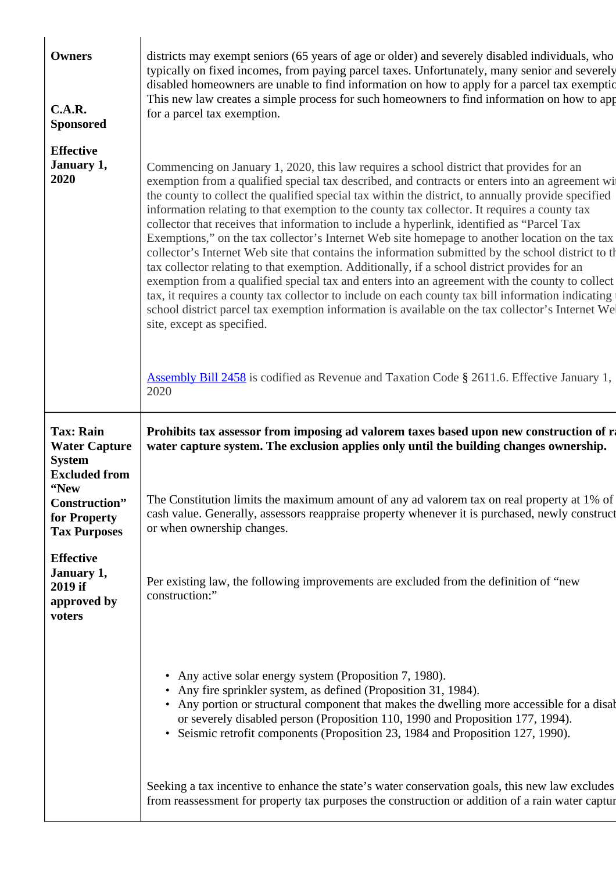| <b>Owners</b><br>C.A.R.<br><b>Sponsored</b>                        | districts may exempt seniors (65 years of age or older) and severely disabled individuals, who<br>typically on fixed incomes, from paying parcel taxes. Unfortunately, many senior and severely<br>disabled homeowners are unable to find information on how to apply for a parcel tax exemptic<br>This new law creates a simple process for such homeowners to find information on how to app<br>for a parcel tax exemption.                                                                                                                                                                                                                                                                                                                                                                                                                                                                                                                                                                                                                                                                                                                   |
|--------------------------------------------------------------------|-------------------------------------------------------------------------------------------------------------------------------------------------------------------------------------------------------------------------------------------------------------------------------------------------------------------------------------------------------------------------------------------------------------------------------------------------------------------------------------------------------------------------------------------------------------------------------------------------------------------------------------------------------------------------------------------------------------------------------------------------------------------------------------------------------------------------------------------------------------------------------------------------------------------------------------------------------------------------------------------------------------------------------------------------------------------------------------------------------------------------------------------------|
| <b>Effective</b><br>January 1,<br>2020                             | Commencing on January 1, 2020, this law requires a school district that provides for an<br>exemption from a qualified special tax described, and contracts or enters into an agreement wij<br>the county to collect the qualified special tax within the district, to annually provide specified<br>information relating to that exemption to the county tax collector. It requires a county tax<br>collector that receives that information to include a hyperlink, identified as "Parcel Tax<br>Exemptions," on the tax collector's Internet Web site homepage to another location on the tax<br>collector's Internet Web site that contains the information submitted by the school district to the<br>tax collector relating to that exemption. Additionally, if a school district provides for an<br>exemption from a qualified special tax and enters into an agreement with the county to collect<br>tax, it requires a county tax collector to include on each county tax bill information indicating<br>school district parcel tax exemption information is available on the tax collector's Internet We<br>site, except as specified. |
|                                                                    | <b>Assembly Bill 2458</b> is codified as Revenue and Taxation Code § 2611.6. Effective January 1,<br>2020                                                                                                                                                                                                                                                                                                                                                                                                                                                                                                                                                                                                                                                                                                                                                                                                                                                                                                                                                                                                                                       |
| <b>Tax: Rain</b><br><b>Water Capture</b><br><b>System</b>          | Prohibits tax assessor from imposing ad valorem taxes based upon new construction of r.<br>water capture system. The exclusion applies only until the building changes ownership.                                                                                                                                                                                                                                                                                                                                                                                                                                                                                                                                                                                                                                                                                                                                                                                                                                                                                                                                                               |
| <b>Excluded from</b>                                               |                                                                                                                                                                                                                                                                                                                                                                                                                                                                                                                                                                                                                                                                                                                                                                                                                                                                                                                                                                                                                                                                                                                                                 |
| "New<br>Construction"<br>for Property<br><b>Tax Purposes</b>       | The Constitution limits the maximum amount of any ad valorem tax on real property at 1% of<br>cash value. Generally, assessors reappraise property whenever it is purchased, newly construct<br>or when ownership changes.                                                                                                                                                                                                                                                                                                                                                                                                                                                                                                                                                                                                                                                                                                                                                                                                                                                                                                                      |
| <b>Effective</b><br>January 1,<br>2019 if<br>approved by<br>voters | Per existing law, the following improvements are excluded from the definition of "new<br>construction:"                                                                                                                                                                                                                                                                                                                                                                                                                                                                                                                                                                                                                                                                                                                                                                                                                                                                                                                                                                                                                                         |
|                                                                    | Any active solar energy system (Proposition 7, 1980).<br>• Any fire sprinkler system, as defined (Proposition 31, 1984).<br>• Any portion or structural component that makes the dwelling more accessible for a disable<br>or severely disabled person (Proposition 110, 1990 and Proposition 177, 1994).<br>Seismic retrofit components (Proposition 23, 1984 and Proposition 127, 1990).                                                                                                                                                                                                                                                                                                                                                                                                                                                                                                                                                                                                                                                                                                                                                      |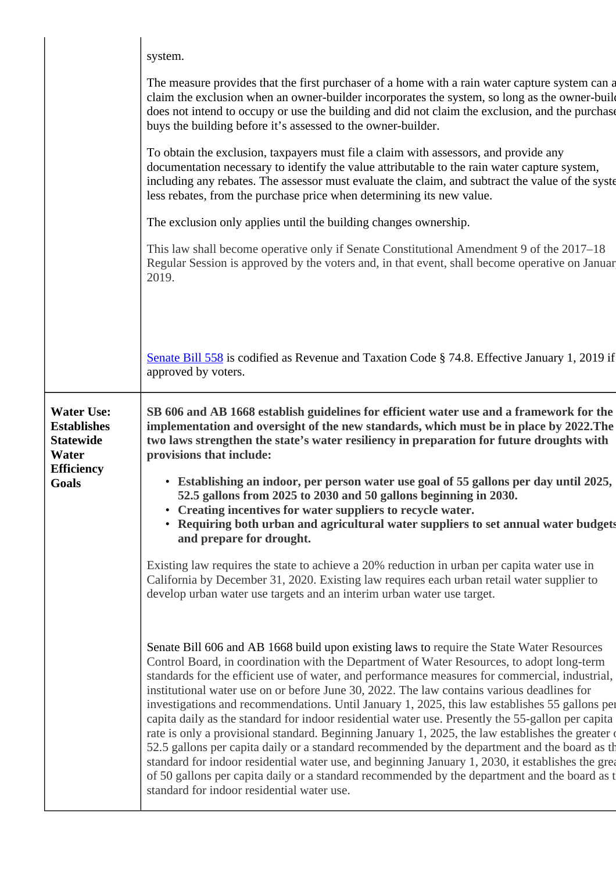|                                                                                                    | system.<br>The measure provides that the first purchaser of a home with a rain water capture system can a<br>claim the exclusion when an owner-builder incorporates the system, so long as the owner-build<br>does not intend to occupy or use the building and did not claim the exclusion, and the purchase<br>buys the building before it's assessed to the owner-builder.                                                                                                                                                                                                                                                                                                                       |
|----------------------------------------------------------------------------------------------------|-----------------------------------------------------------------------------------------------------------------------------------------------------------------------------------------------------------------------------------------------------------------------------------------------------------------------------------------------------------------------------------------------------------------------------------------------------------------------------------------------------------------------------------------------------------------------------------------------------------------------------------------------------------------------------------------------------|
|                                                                                                    | To obtain the exclusion, taxpayers must file a claim with assessors, and provide any<br>documentation necessary to identify the value attributable to the rain water capture system,<br>including any rebates. The assessor must evaluate the claim, and subtract the value of the syste<br>less rebates, from the purchase price when determining its new value.                                                                                                                                                                                                                                                                                                                                   |
|                                                                                                    | The exclusion only applies until the building changes ownership.                                                                                                                                                                                                                                                                                                                                                                                                                                                                                                                                                                                                                                    |
|                                                                                                    | This law shall become operative only if Senate Constitutional Amendment 9 of the 2017–18<br>Regular Session is approved by the voters and, in that event, shall become operative on Januar<br>2019.                                                                                                                                                                                                                                                                                                                                                                                                                                                                                                 |
|                                                                                                    | Senate Bill 558 is codified as Revenue and Taxation Code § 74.8. Effective January 1, 2019 if<br>approved by voters.                                                                                                                                                                                                                                                                                                                                                                                                                                                                                                                                                                                |
| <b>Water Use:</b><br><b>Establishes</b><br><b>Statewide</b><br>Water<br><b>Efficiency</b><br>Goals | SB 606 and AB 1668 establish guidelines for efficient water use and a framework for the<br>implementation and oversight of the new standards, which must be in place by 2022. The<br>two laws strengthen the state's water resiliency in preparation for future droughts with<br>provisions that include:                                                                                                                                                                                                                                                                                                                                                                                           |
|                                                                                                    | • Establishing an indoor, per person water use goal of 55 gallons per day until 2025,<br>52.5 gallons from 2025 to 2030 and 50 gallons beginning in 2030.<br>• Creating incentives for water suppliers to recycle water.<br>Requiring both urban and agricultural water suppliers to set annual water budgets<br>and prepare for drought.                                                                                                                                                                                                                                                                                                                                                           |
|                                                                                                    | Existing law requires the state to achieve a 20% reduction in urban per capita water use in<br>California by December 31, 2020. Existing law requires each urban retail water supplier to<br>develop urban water use targets and an interim urban water use target.                                                                                                                                                                                                                                                                                                                                                                                                                                 |
|                                                                                                    | Senate Bill 606 and AB 1668 build upon existing laws to require the State Water Resources<br>Control Board, in coordination with the Department of Water Resources, to adopt long-term<br>standards for the efficient use of water, and performance measures for commercial, industrial,<br>institutional water use on or before June 30, 2022. The law contains various deadlines for<br>investigations and recommendations. Until January 1, 2025, this law establishes 55 gallons per<br>capita daily as the standard for indoor residential water use. Presently the 55-gallon per capita<br>rate is only a provisional standard. Beginning January 1, 2025, the law establishes the greater of |